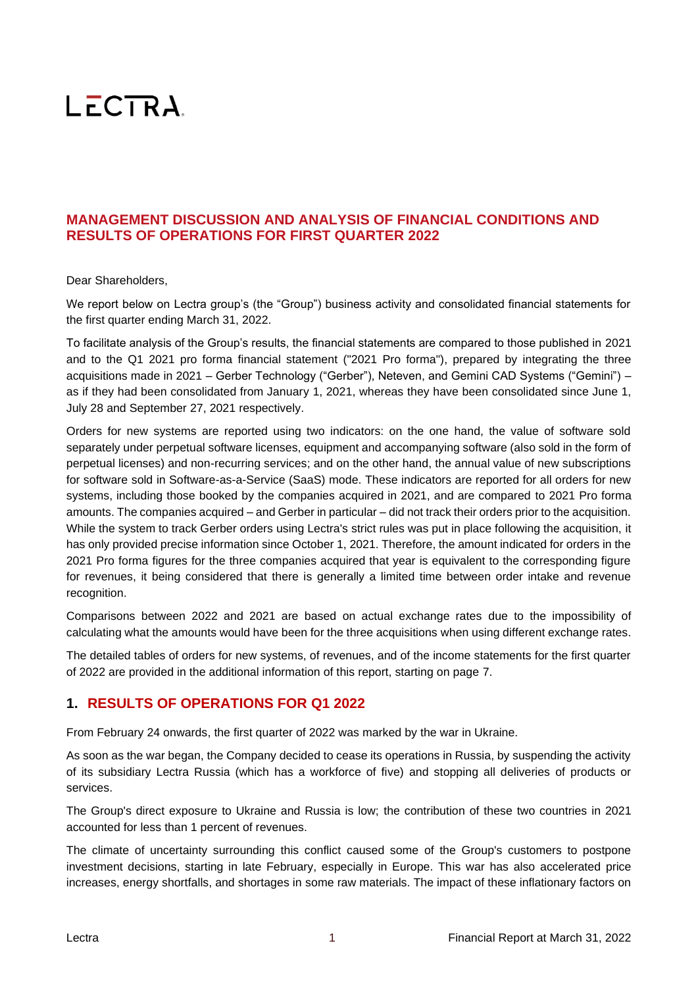# LECTRA.

# **MANAGEMENT DISCUSSION AND ANALYSIS OF FINANCIAL CONDITIONS AND RESULTS OF OPERATIONS FOR FIRST QUARTER 2022**

## Dear Shareholders,

We report below on Lectra group's (the "Group") business activity and consolidated financial statements for the first quarter ending March 31, 2022.

To facilitate analysis of the Group's results, the financial statements are compared to those published in 2021 and to the Q1 2021 pro forma financial statement ("2021 Pro forma"), prepared by integrating the three acquisitions made in 2021 – Gerber Technology ("Gerber"), Neteven, and Gemini CAD Systems ("Gemini") – as if they had been consolidated from January 1, 2021, whereas they have been consolidated since June 1, July 28 and September 27, 2021 respectively.

Orders for new systems are reported using two indicators: on the one hand, the value of software sold separately under perpetual software licenses, equipment and accompanying software (also sold in the form of perpetual licenses) and non-recurring services; and on the other hand, the annual value of new subscriptions for software sold in Software-as-a-Service (SaaS) mode. These indicators are reported for all orders for new systems, including those booked by the companies acquired in 2021, and are compared to 2021 Pro forma amounts. The companies acquired – and Gerber in particular – did not track their orders prior to the acquisition. While the system to track Gerber orders using Lectra's strict rules was put in place following the acquisition, it has only provided precise information since October 1, 2021. Therefore, the amount indicated for orders in the 2021 Pro forma figures for the three companies acquired that year is equivalent to the corresponding figure for revenues, it being considered that there is generally a limited time between order intake and revenue recognition.

Comparisons between 2022 and 2021 are based on actual exchange rates due to the impossibility of calculating what the amounts would have been for the three acquisitions when using different exchange rates.

The detailed tables of orders for new systems, of revenues, and of the income statements for the first quarter of 2022 are provided in the additional information of this report, starting on page 7.

# **1. RESULTS OF OPERATIONS FOR Q1 2022**

From February 24 onwards, the first quarter of 2022 was marked by the war in Ukraine.

As soon as the war began, the Company decided to cease its operations in Russia, by suspending the activity of its subsidiary Lectra Russia (which has a workforce of five) and stopping all deliveries of products or services.

The Group's direct exposure to Ukraine and Russia is low; the contribution of these two countries in 2021 accounted for less than 1 percent of revenues.

The climate of uncertainty surrounding this conflict caused some of the Group's customers to postpone investment decisions, starting in late February, especially in Europe. This war has also accelerated price increases, energy shortfalls, and shortages in some raw materials. The impact of these inflationary factors on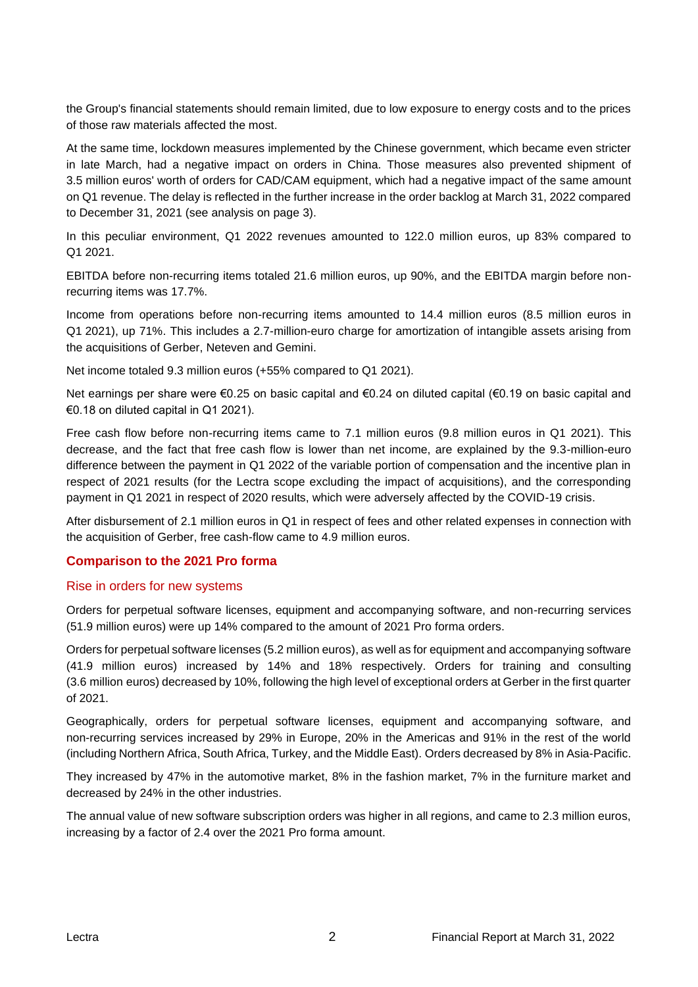the Group's financial statements should remain limited, due to low exposure to energy costs and to the prices of those raw materials affected the most.

At the same time, lockdown measures implemented by the Chinese government, which became even stricter in late March, had a negative impact on orders in China. Those measures also prevented shipment of 3.5 million euros' worth of orders for CAD/CAM equipment, which had a negative impact of the same amount on Q1 revenue. The delay is reflected in the further increase in the order backlog at March 31, 2022 compared to December 31, 2021 (see analysis on page 3).

In this peculiar environment, Q1 2022 revenues amounted to 122.0 million euros, up 83% compared to Q1 2021.

EBITDA before non-recurring items totaled 21.6 million euros, up 90%, and the EBITDA margin before nonrecurring items was 17.7%.

Income from operations before non-recurring items amounted to 14.4 million euros (8.5 million euros in Q1 2021), up 71%. This includes a 2.7-million-euro charge for amortization of intangible assets arising from the acquisitions of Gerber, Neteven and Gemini.

Net income totaled 9.3 million euros (+55% compared to Q1 2021).

Net earnings per share were €0.25 on basic capital and €0.24 on diluted capital (€0.19 on basic capital and €0.18 on diluted capital in Q1 2021).

Free cash flow before non-recurring items came to 7.1 million euros (9.8 million euros in Q1 2021). This decrease, and the fact that free cash flow is lower than net income, are explained by the 9.3-million-euro difference between the payment in Q1 2022 of the variable portion of compensation and the incentive plan in respect of 2021 results (for the Lectra scope excluding the impact of acquisitions), and the corresponding payment in Q1 2021 in respect of 2020 results, which were adversely affected by the COVID-19 crisis.

After disbursement of 2.1 million euros in Q1 in respect of fees and other related expenses in connection with the acquisition of Gerber, free cash-flow came to 4.9 million euros.

# **Comparison to the 2021 Pro forma**

#### Rise in orders for new systems

Orders for perpetual software licenses, equipment and accompanying software, and non-recurring services (51.9 million euros) were up 14% compared to the amount of 2021 Pro forma orders.

Orders for perpetual software licenses (5.2 million euros), as well as for equipment and accompanying software (41.9 million euros) increased by 14% and 18% respectively. Orders for training and consulting (3.6 million euros) decreased by 10%, following the high level of exceptional orders at Gerber in the first quarter of 2021.

Geographically, orders for perpetual software licenses, equipment and accompanying software, and non-recurring services increased by 29% in Europe, 20% in the Americas and 91% in the rest of the world (including Northern Africa, South Africa, Turkey, and the Middle East). Orders decreased by 8% in Asia-Pacific.

They increased by 47% in the automotive market, 8% in the fashion market, 7% in the furniture market and decreased by 24% in the other industries.

The annual value of new software subscription orders was higher in all regions, and came to 2.3 million euros, increasing by a factor of 2.4 over the 2021 Pro forma amount.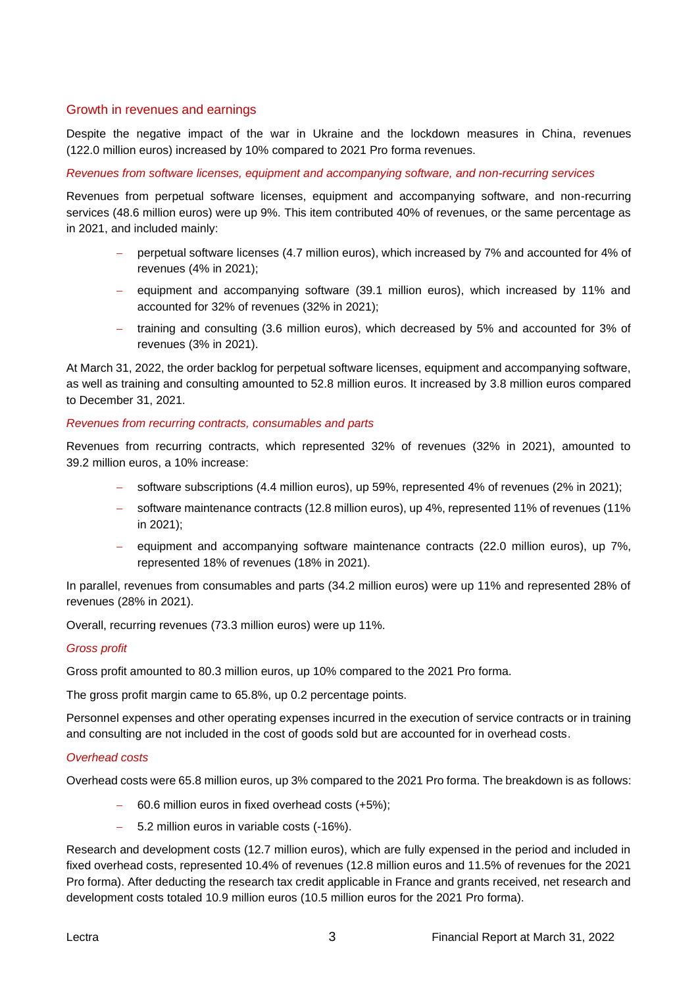## Growth in revenues and earnings

Despite the negative impact of the war in Ukraine and the lockdown measures in China, revenues (122.0 million euros) increased by 10% compared to 2021 Pro forma revenues.

#### *Revenues from software licenses, equipment and accompanying software, and non-recurring services*

Revenues from perpetual software licenses, equipment and accompanying software, and non-recurring services (48.6 million euros) were up 9%. This item contributed 40% of revenues, or the same percentage as in 2021, and included mainly:

- − perpetual software licenses (4.7 million euros), which increased by 7% and accounted for 4% of revenues (4% in 2021);
- − equipment and accompanying software (39.1 million euros), which increased by 11% and accounted for 32% of revenues (32% in 2021);
- − training and consulting (3.6 million euros), which decreased by 5% and accounted for 3% of revenues (3% in 2021).

At March 31, 2022, the order backlog for perpetual software licenses, equipment and accompanying software, as well as training and consulting amounted to 52.8 million euros. It increased by 3.8 million euros compared to December 31, 2021.

#### *Revenues from recurring contracts, consumables and parts*

Revenues from recurring contracts, which represented 32% of revenues (32% in 2021), amounted to 39.2 million euros, a 10% increase:

- software subscriptions (4.4 million euros), up 59%, represented 4% of revenues (2% in 2021);
- − software maintenance contracts (12.8 million euros), up 4%, represented 11% of revenues (11% in 2021);
- − equipment and accompanying software maintenance contracts (22.0 million euros), up 7%, represented 18% of revenues (18% in 2021).

In parallel, revenues from consumables and parts (34.2 million euros) were up 11% and represented 28% of revenues (28% in 2021).

Overall, recurring revenues (73.3 million euros) were up 11%.

#### *Gross profit*

Gross profit amounted to 80.3 million euros, up 10% compared to the 2021 Pro forma.

The gross profit margin came to 65.8%, up 0.2 percentage points.

Personnel expenses and other operating expenses incurred in the execution of service contracts or in training and consulting are not included in the cost of goods sold but are accounted for in overhead costs.

#### *Overhead costs*

Overhead costs were 65.8 million euros, up 3% compared to the 2021 Pro forma. The breakdown is as follows:

- − 60.6 million euros in fixed overhead costs (+5%);
- − 5.2 million euros in variable costs (-16%).

Research and development costs (12.7 million euros), which are fully expensed in the period and included in fixed overhead costs, represented 10.4% of revenues (12.8 million euros and 11.5% of revenues for the 2021 Pro forma). After deducting the research tax credit applicable in France and grants received, net research and development costs totaled 10.9 million euros (10.5 million euros for the 2021 Pro forma).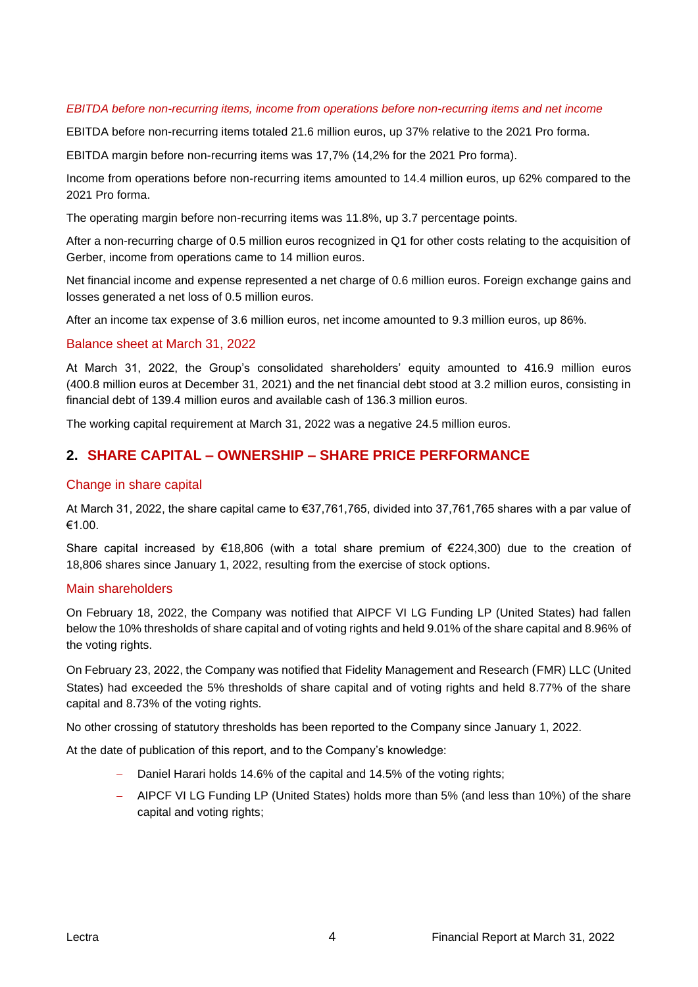#### *EBITDA before non-recurring items, income from operations before non-recurring items and net income*

EBITDA before non-recurring items totaled 21.6 million euros, up 37% relative to the 2021 Pro forma.

EBITDA margin before non-recurring items was 17,7% (14,2% for the 2021 Pro forma).

Income from operations before non-recurring items amounted to 14.4 million euros, up 62% compared to the 2021 Pro forma.

The operating margin before non-recurring items was 11.8%, up 3.7 percentage points.

After a non-recurring charge of 0.5 million euros recognized in Q1 for other costs relating to the acquisition of Gerber, income from operations came to 14 million euros.

Net financial income and expense represented a net charge of 0.6 million euros. Foreign exchange gains and losses generated a net loss of 0.5 million euros.

After an income tax expense of 3.6 million euros, net income amounted to 9.3 million euros, up 86%.

#### Balance sheet at March 31, 2022

At March 31, 2022, the Group's consolidated shareholders' equity amounted to 416.9 million euros (400.8 million euros at December 31, 2021) and the net financial debt stood at 3.2 million euros, consisting in financial debt of 139.4 million euros and available cash of 136.3 million euros.

The working capital requirement at March 31, 2022 was a negative 24.5 million euros.

# **2. SHARE CAPITAL – OWNERSHIP – SHARE PRICE PERFORMANCE**

#### Change in share capital

At March 31, 2022, the share capital came to €37,761,765, divided into 37,761,765 shares with a par value of €1.00.

Share capital increased by €18,806 (with a total share premium of €224,300) due to the creation of 18,806 shares since January 1, 2022, resulting from the exercise of stock options.

#### Main shareholders

On February 18, 2022, the Company was notified that AIPCF VI LG Funding LP (United States) had fallen below the 10% thresholds of share capital and of voting rights and held 9.01% of the share capital and 8.96% of the voting rights.

On February 23, 2022, the Company was notified that Fidelity Management and Research (FMR) LLC (United States) had exceeded the 5% thresholds of share capital and of voting rights and held 8.77% of the share capital and 8.73% of the voting rights.

No other crossing of statutory thresholds has been reported to the Company since January 1, 2022.

At the date of publication of this report, and to the Company's knowledge:

- Daniel Harari holds 14.6% of the capital and 14.5% of the voting rights;
- − AIPCF VI LG Funding LP (United States) holds more than 5% (and less than 10%) of the share capital and voting rights;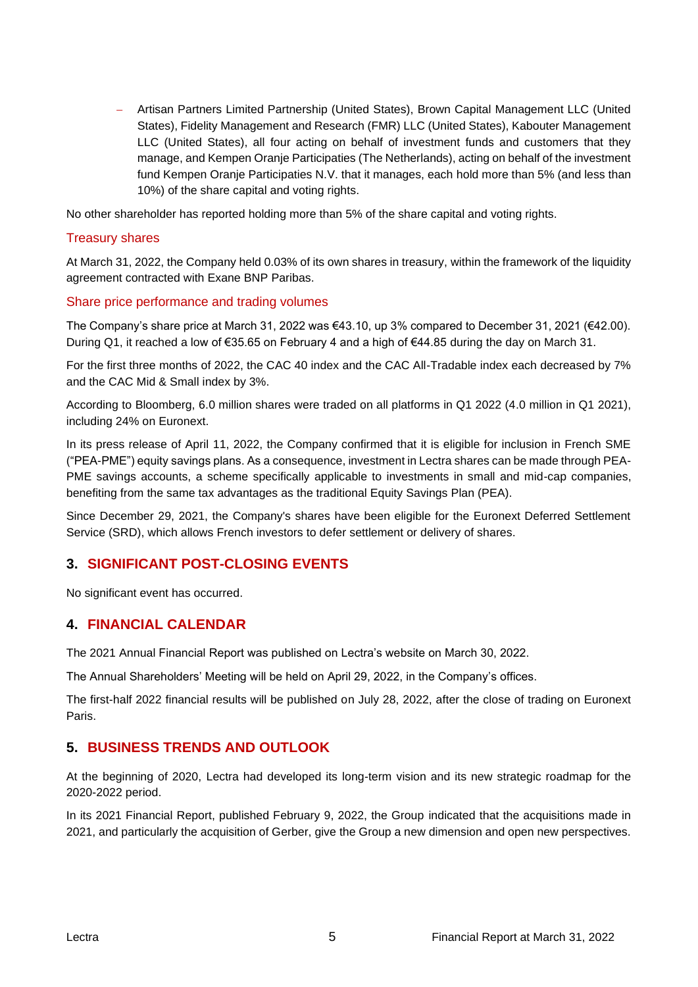− Artisan Partners Limited Partnership (United States), Brown Capital Management LLC (United States), Fidelity Management and Research (FMR) LLC (United States), Kabouter Management LLC (United States), all four acting on behalf of investment funds and customers that they manage, and Kempen Oranje Participaties (The Netherlands), acting on behalf of the investment fund Kempen Oranje Participaties N.V. that it manages, each hold more than 5% (and less than 10%) of the share capital and voting rights.

No other shareholder has reported holding more than 5% of the share capital and voting rights.

#### Treasury shares

At March 31, 2022, the Company held 0.03% of its own shares in treasury, within the framework of the liquidity agreement contracted with Exane BNP Paribas.

#### Share price performance and trading volumes

The Company's share price at March 31, 2022 was €43.10, up 3% compared to December 31, 2021 (€42.00). During Q1, it reached a low of €35.65 on February 4 and a high of €44.85 during the day on March 31.

For the first three months of 2022, the CAC 40 index and the CAC All-Tradable index each decreased by 7% and the CAC Mid & Small index by 3%.

According to Bloomberg, 6.0 million shares were traded on all platforms in Q1 2022 (4.0 million in Q1 2021), including 24% on Euronext.

In its press release of April 11, 2022, the Company confirmed that it is eligible for inclusion in French SME ("PEA-PME") equity savings plans. As a consequence, investment in Lectra shares can be made through PEA-PME savings accounts, a scheme specifically applicable to investments in small and mid-cap companies, benefiting from the same tax advantages as the traditional Equity Savings Plan (PEA).

Since December 29, 2021, the Company's shares have been eligible for the Euronext Deferred Settlement Service (SRD), which allows French investors to defer settlement or delivery of shares.

# **3. SIGNIFICANT POST-CLOSING EVENTS**

No significant event has occurred.

# **4. FINANCIAL CALENDAR**

The 2021 Annual Financial Report was published on Lectra's website on March 30, 2022.

The Annual Shareholders' Meeting will be held on April 29, 2022, in the Company's offices.

The first-half 2022 financial results will be published on July 28, 2022, after the close of trading on Euronext Paris.

# **5. BUSINESS TRENDS AND OUTLOOK**

At the beginning of 2020, Lectra had developed its long-term vision and its new strategic roadmap for the 2020-2022 period.

In its 2021 Financial Report, published February 9, 2022, the Group indicated that the acquisitions made in 2021, and particularly the acquisition of Gerber, give the Group a new dimension and open new perspectives.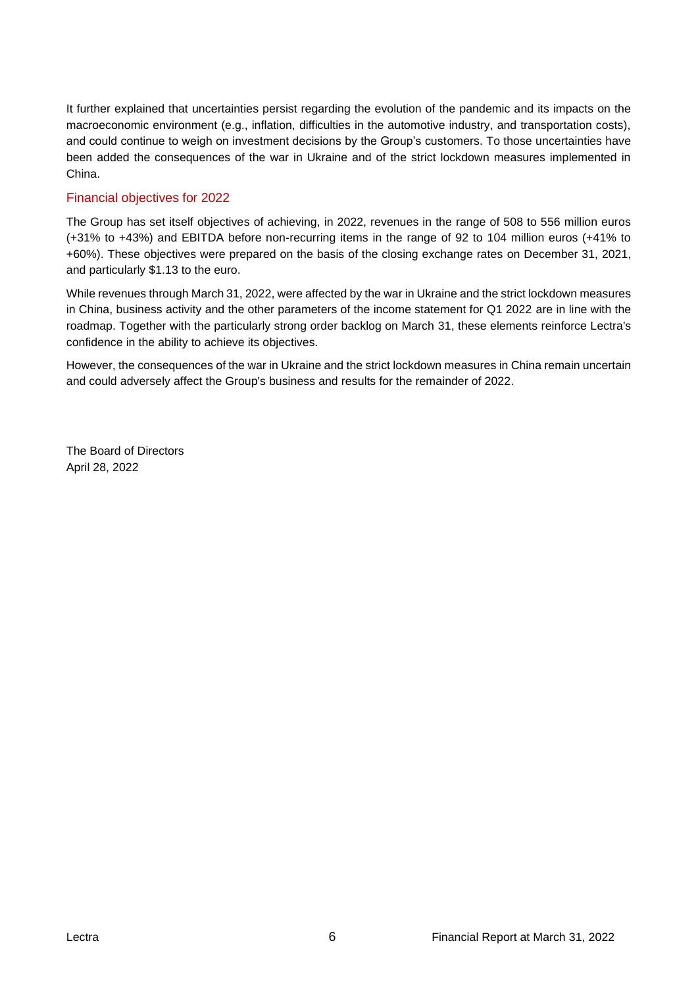It further explained that uncertainties persist regarding the evolution of the pandemic and its impacts on the macroeconomic environment (e.g., inflation, difficulties in the automotive industry, and transportation costs), and could continue to weigh on investment decisions by the Group's customers. To those uncertainties have been added the consequences of the war in Ukraine and of the strict lockdown measures implemented in China.

# Financial objectives for 2022

The Group has set itself objectives of achieving, in 2022, revenues in the range of 508 to 556 million euros (+31% to +43%) and EBITDA before non-recurring items in the range of 92 to 104 million euros (+41% to +60%). These objectives were prepared on the basis of the closing exchange rates on December 31, 2021, and particularly \$1.13 to the euro.

While revenues through March 31, 2022, were affected by the war in Ukraine and the strict lockdown measures in China, business activity and the other parameters of the income statement for Q1 2022 are in line with the roadmap. Together with the particularly strong order backlog on March 31, these elements reinforce Lectra's confidence in the ability to achieve its objectives.

However, the consequences of the war in Ukraine and the strict lockdown measures in China remain uncertain and could adversely affect the Group's business and results for the remainder of 2022.

The Board of Directors April 28, 2022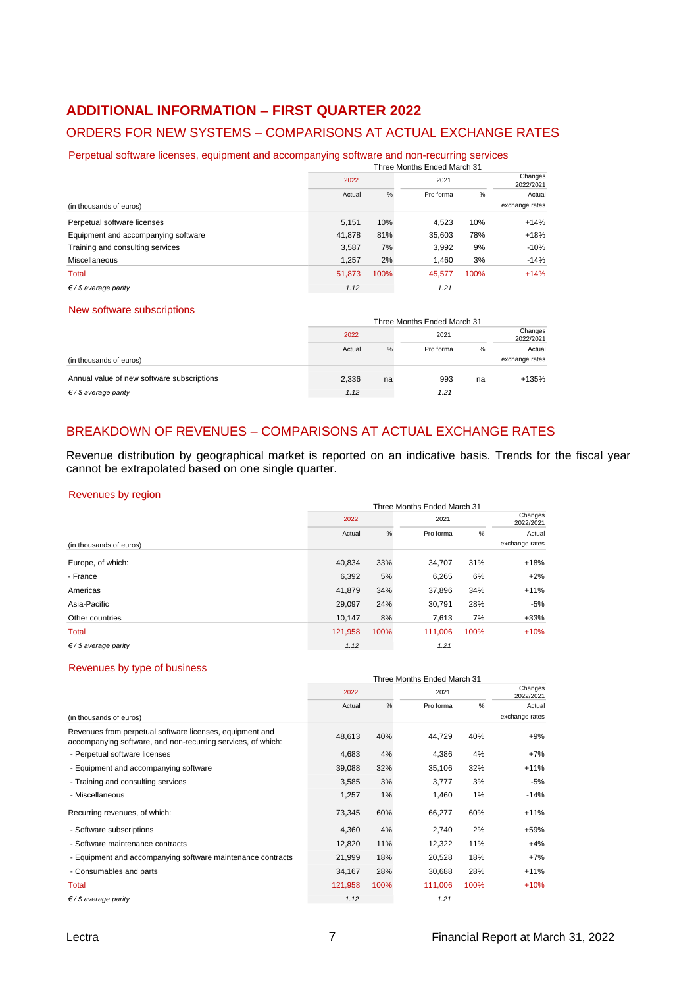# **ADDITIONAL INFORMATION – FIRST QUARTER 2022**

# ORDERS FOR NEW SYSTEMS – COMPARISONS AT ACTUAL EXCHANGE RATES

Perpetual software licenses, equipment and accompanying software and non-recurring services

|                                     | Three Months Ended March 31 |      |           |      |                |  |  |  |  |
|-------------------------------------|-----------------------------|------|-----------|------|----------------|--|--|--|--|
|                                     | 2022                        |      | 2021      |      |                |  |  |  |  |
|                                     | Actual                      | $\%$ | Pro forma | %    | Actual         |  |  |  |  |
| (in thousands of euros)             |                             |      |           |      | exchange rates |  |  |  |  |
| Perpetual software licenses         | 5.151                       | 10%  | 4.523     | 10%  | $+14%$         |  |  |  |  |
| Equipment and accompanying software | 41,878                      | 81%  | 35,603    | 78%  | $+18%$         |  |  |  |  |
| Training and consulting services    | 3.587                       | 7%   | 3,992     | 9%   | $-10%$         |  |  |  |  |
| Miscellaneous                       | 1.257                       | 2%   | 1.460     | 3%   | $-14%$         |  |  |  |  |
| Total                               | 51,873                      | 100% | 45,577    | 100% | $+14%$         |  |  |  |  |
| $\xi$ / \$ average parity           | 1.12                        |      | 1.21      |      |                |  |  |  |  |

#### New software subscriptions

| <b>INGW SOILWATE SUDSCIPTIONS</b>          |        |                             |           |    |                      |  |
|--------------------------------------------|--------|-----------------------------|-----------|----|----------------------|--|
|                                            |        | Three Months Ended March 31 |           |    |                      |  |
|                                            | 2022   |                             | 2021      |    | Changes<br>2022/2021 |  |
|                                            | Actual | %                           | Pro forma | %  | Actual               |  |
| (in thousands of euros)                    |        |                             |           |    | exchange rates       |  |
| Annual value of new software subscriptions | 2,336  | na                          | 993       | na | +135%                |  |
| $\xi$ / \$ average parity                  | 1.12   |                             | 1.21      |    |                      |  |

# BREAKDOWN OF REVENUES – COMPARISONS AT ACTUAL EXCHANGE RATES

Revenue distribution by geographical market is reported on an indicative basis. Trends for the fiscal year cannot be extrapolated based on one single quarter.

#### Revenues by region

|                           | Three Months Ended March 31 |      |           |      |                      |  |  |  |  |
|---------------------------|-----------------------------|------|-----------|------|----------------------|--|--|--|--|
|                           | 2022                        |      | 2021      |      | Changes<br>2022/2021 |  |  |  |  |
|                           | Actual                      | $\%$ | Pro forma | %    | Actual               |  |  |  |  |
| (in thousands of euros)   |                             |      |           |      | exchange rates       |  |  |  |  |
| Europe, of which:         | 40,834                      | 33%  | 34,707    | 31%  | $+18%$               |  |  |  |  |
| - France                  | 6,392                       | 5%   | 6,265     | 6%   | $+2%$                |  |  |  |  |
| Americas                  | 41,879                      | 34%  | 37,896    | 34%  | $+11%$               |  |  |  |  |
| Asia-Pacific              | 29,097                      | 24%  | 30.791    | 28%  | $-5%$                |  |  |  |  |
| Other countries           | 10,147                      | 8%   | 7,613     | 7%   | $+33%$               |  |  |  |  |
| Total                     | 121,958                     | 100% | 111.006   | 100% | $+10%$               |  |  |  |  |
| $\xi$ / \$ average parity | 1.12                        |      | 1.21      |      |                      |  |  |  |  |

#### Revenues by type of business

| <b>INGAGITAGO DA TANG OI DAGILICOS</b>                                                                                   |                             |      |           |                      |                |  |  |  |
|--------------------------------------------------------------------------------------------------------------------------|-----------------------------|------|-----------|----------------------|----------------|--|--|--|
|                                                                                                                          | Three Months Ended March 31 |      |           |                      |                |  |  |  |
|                                                                                                                          | 2022                        |      | 2021      | Changes<br>2022/2021 |                |  |  |  |
|                                                                                                                          | Actual                      | %    | Pro forma | %                    | Actual         |  |  |  |
| (in thousands of euros)                                                                                                  |                             |      |           |                      | exchange rates |  |  |  |
| Revenues from perpetual software licenses, equipment and<br>accompanying software, and non-recurring services, of which: | 48,613                      | 40%  | 44,729    | 40%                  | $+9%$          |  |  |  |
| - Perpetual software licenses                                                                                            | 4,683                       | 4%   | 4,386     | 4%                   | $+7%$          |  |  |  |
| - Equipment and accompanying software                                                                                    | 39,088                      | 32%  | 35,106    | 32%                  | $+11%$         |  |  |  |
| - Training and consulting services                                                                                       | 3,585                       | 3%   | 3,777     | 3%                   | $-5%$          |  |  |  |
| - Miscellaneous                                                                                                          | 1,257                       | 1%   | 1,460     | 1%                   | $-14%$         |  |  |  |
| Recurring revenues, of which:                                                                                            | 73,345                      | 60%  | 66,277    | 60%                  | $+11%$         |  |  |  |
| - Software subscriptions                                                                                                 | 4,360                       | 4%   | 2,740     | 2%                   | $+59%$         |  |  |  |
| - Software maintenance contracts                                                                                         | 12,820                      | 11%  | 12,322    | 11%                  | $+4%$          |  |  |  |
| - Equipment and accompanying software maintenance contracts                                                              | 21,999                      | 18%  | 20,528    | 18%                  | $+7%$          |  |  |  |
| - Consumables and parts                                                                                                  | 34,167                      | 28%  | 30,688    | 28%                  | $+11%$         |  |  |  |
| Total                                                                                                                    | 121,958                     | 100% | 111,006   | 100%                 | $+10%$         |  |  |  |
| $\xi$ / \$ average parity                                                                                                | 1.12                        |      | 1.21      |                      |                |  |  |  |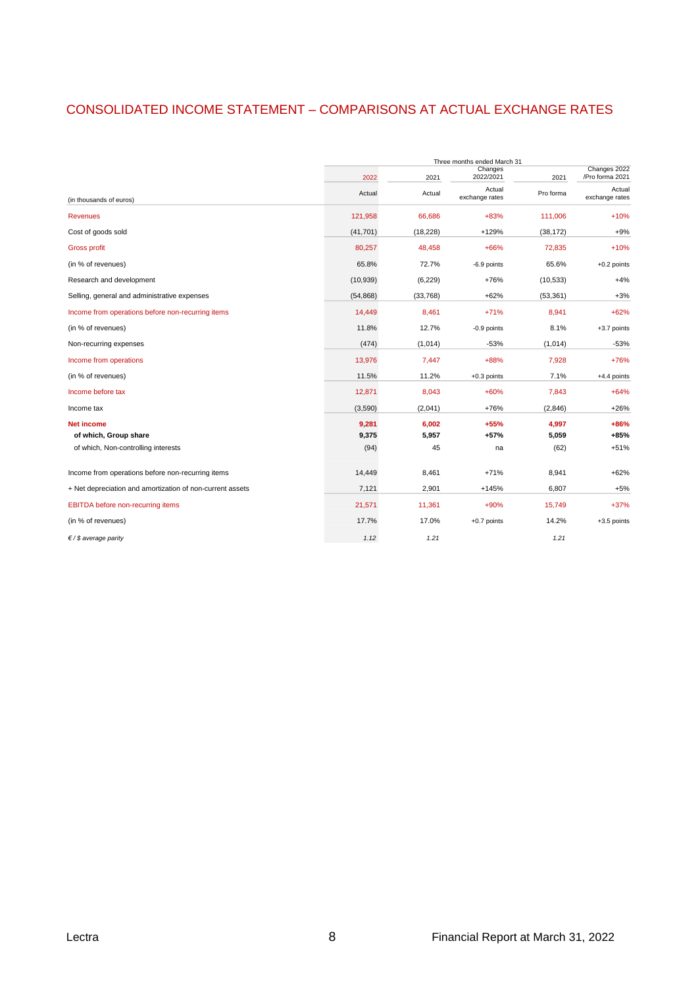# CONSOLIDATED INCOME STATEMENT – COMPARISONS AT ACTUAL EXCHANGE RATES

|                                                           | Three months ended March 31 |           |                      |           |                                 |  |  |  |  |  |
|-----------------------------------------------------------|-----------------------------|-----------|----------------------|-----------|---------------------------------|--|--|--|--|--|
|                                                           | 2022                        | 2021      | Changes<br>2022/2021 | 2021      | Changes 2022<br>/Pro forma 2021 |  |  |  |  |  |
|                                                           |                             |           | Actual               |           | Actual                          |  |  |  |  |  |
| (in thousands of euros)                                   | Actual                      | Actual    | exchange rates       | Pro forma | exchange rates                  |  |  |  |  |  |
| <b>Revenues</b>                                           | 121,958                     | 66,686    | $+83%$               | 111,006   | $+10%$                          |  |  |  |  |  |
| Cost of goods sold                                        | (41, 701)                   | (18, 228) | $+129%$              | (38, 172) | $+9%$                           |  |  |  |  |  |
| <b>Gross profit</b>                                       | 80,257                      | 48,458    | $+66%$               | 72,835    | $+10%$                          |  |  |  |  |  |
| (in % of revenues)                                        | 65.8%                       | 72.7%     | -6.9 points          | 65.6%     | +0.2 points                     |  |  |  |  |  |
| Research and development                                  | (10, 939)                   | (6, 229)  | $+76%$               | (10, 533) | $+4%$                           |  |  |  |  |  |
| Selling, general and administrative expenses              | (54, 868)                   | (33,768)  | $+62%$               | (53, 361) | $+3%$                           |  |  |  |  |  |
| Income from operations before non-recurring items         | 14,449                      | 8,461     | $+71%$               | 8,941     | $+62%$                          |  |  |  |  |  |
| (in % of revenues)                                        | 11.8%                       | 12.7%     | -0.9 points          | 8.1%      | +3.7 points                     |  |  |  |  |  |
| Non-recurring expenses                                    | (474)                       | (1,014)   | $-53%$               | (1,014)   | $-53%$                          |  |  |  |  |  |
| Income from operations                                    | 13,976                      | 7,447     | $+88%$               | 7,928     | $+76%$                          |  |  |  |  |  |
| (in % of revenues)                                        | 11.5%                       | 11.2%     | $+0.3$ points        | 7.1%      | +4.4 points                     |  |  |  |  |  |
| Income before tax                                         | 12,871                      | 8,043     | $+60%$               | 7,843     | $+64%$                          |  |  |  |  |  |
| Income tax                                                | (3,590)                     | (2,041)   | $+76%$               | (2,846)   | $+26%$                          |  |  |  |  |  |
| <b>Net income</b>                                         | 9,281                       | 6,002     | $+55%$               | 4,997     | $+86%$                          |  |  |  |  |  |
| of which, Group share                                     | 9,375                       | 5,957     | $+57%$               | 5,059     | $+85%$                          |  |  |  |  |  |
| of which, Non-controlling interests                       | (94)                        | 45        | na                   | (62)      | $+51%$                          |  |  |  |  |  |
| Income from operations before non-recurring items         | 14,449                      | 8,461     | $+71%$               | 8,941     | $+62%$                          |  |  |  |  |  |
| + Net depreciation and amortization of non-current assets | 7,121                       | 2,901     | $+145%$              | 6,807     | $+5%$                           |  |  |  |  |  |
| EBITDA before non-recurring items                         | 21,571                      | 11,361    | $+90%$               | 15,749    | $+37%$                          |  |  |  |  |  |
| (in % of revenues)                                        | 17.7%                       | 17.0%     | $+0.7$ points        | 14.2%     | +3.5 points                     |  |  |  |  |  |
| $\xi$ / \$ average parity                                 | 1.12                        | 1.21      |                      | 1.21      |                                 |  |  |  |  |  |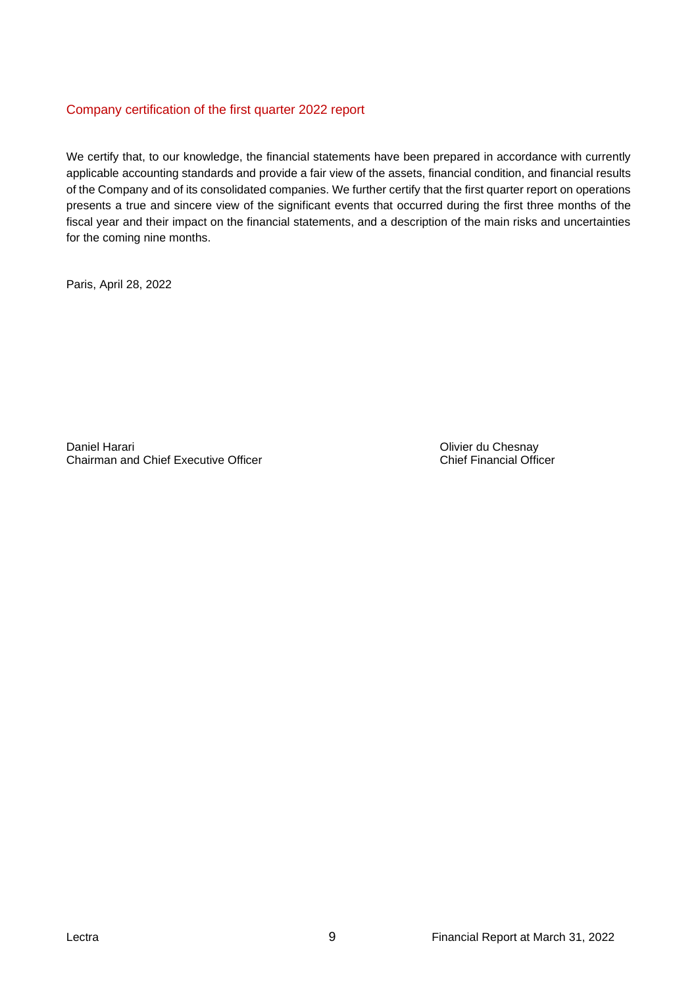# Company certification of the first quarter 2022 report

We certify that, to our knowledge, the financial statements have been prepared in accordance with currently applicable accounting standards and provide a fair view of the assets, financial condition, and financial results of the Company and of its consolidated companies. We further certify that the first quarter report on operations presents a true and sincere view of the significant events that occurred during the first three months of the fiscal year and their impact on the financial statements, and a description of the main risks and uncertainties for the coming nine months.

Paris, April 28, 2022

Daniel Harari **Daniel Harari Chesnay**<br>
Chairman and Chief Executive Officer<br>
Chief Financial Officer Chairman and Chief Executive Officer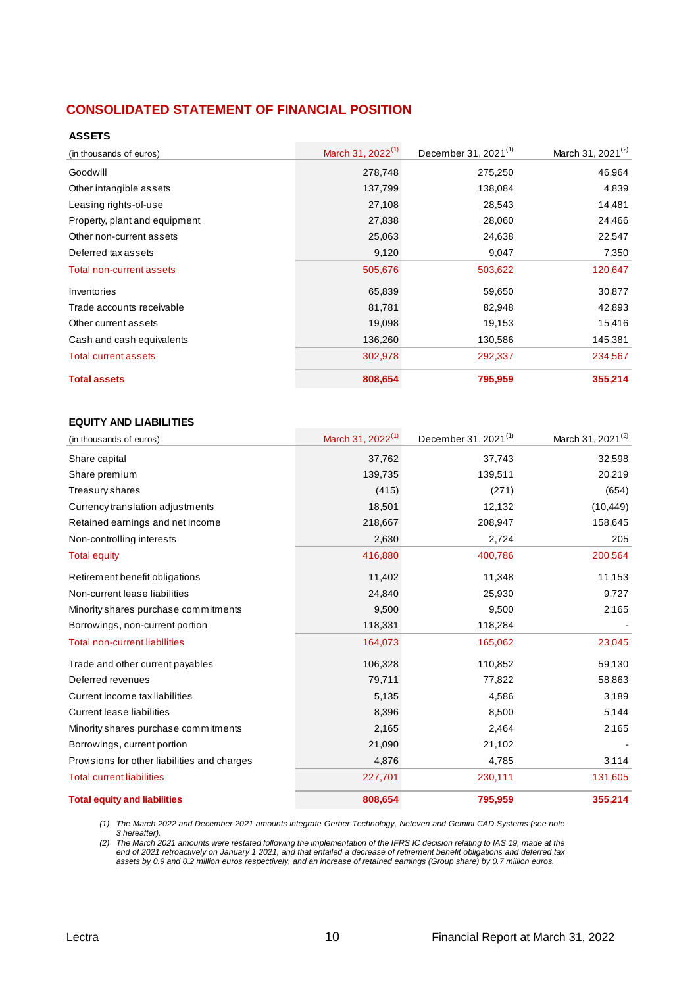# **CONSOLIDATED STATEMENT OF FINANCIAL POSITION**

#### **ASSETS**

| (in thousands of euros)       | March 31, 2022 <sup>(1)</sup> | December 31, 2021 <sup>(1)</sup> | March 31, 2021 <sup>(2)</sup> |
|-------------------------------|-------------------------------|----------------------------------|-------------------------------|
| Goodwill                      | 278,748                       | 275,250                          | 46,964                        |
| Other intangible assets       | 137,799                       | 138,084                          | 4,839                         |
| Leasing rights-of-use         | 27,108                        | 28,543                           | 14,481                        |
| Property, plant and equipment | 27,838                        | 28,060                           | 24,466                        |
| Other non-current assets      | 25,063                        | 24,638                           | 22,547                        |
| Deferred tax assets           | 9,120                         | 9,047                            | 7,350                         |
| Total non-current assets      | 505,676                       | 503,622                          | 120,647                       |
| Inventories                   | 65,839                        | 59,650                           | 30,877                        |
| Trade accounts receivable     | 81,781                        | 82,948                           | 42,893                        |
| Other current assets          | 19,098                        | 19,153                           | 15,416                        |
| Cash and cash equivalents     | 136,260                       | 130,586                          | 145,381                       |
| <b>Total current assets</b>   | 302,978                       | 292,337                          | 234,567                       |
| <b>Total assets</b>           | 808,654                       | 795,959                          | 355,214                       |

#### **EQUITY AND LIABILITIES**

| (in thousands of euros)                      | March 31, 2022 <sup>(1)</sup> | December 31, 2021 <sup>(1)</sup> | March 31, 2021 <sup>(2)</sup> |
|----------------------------------------------|-------------------------------|----------------------------------|-------------------------------|
| Share capital                                | 37,762                        | 37,743                           | 32,598                        |
| Share premium                                | 139,735                       | 139,511                          | 20,219                        |
| Treasury shares                              | (415)                         | (271)                            | (654)                         |
| Currency translation adjustments             | 18,501                        | 12,132                           | (10, 449)                     |
| Retained earnings and net income             | 218,667                       | 208,947                          | 158,645                       |
| Non-controlling interests                    | 2,630                         | 2,724                            | 205                           |
| <b>Total equity</b>                          | 416,880                       | 400,786                          | 200,564                       |
| Retirement benefit obligations               | 11,402                        | 11,348                           | 11,153                        |
| Non-current lease liabilities                | 24,840                        | 25,930                           | 9,727                         |
| Minority shares purchase commitments         | 9,500                         | 9,500                            | 2,165                         |
| Borrowings, non-current portion              | 118,331                       | 118,284                          |                               |
| <b>Total non-current liabilities</b>         | 164,073                       | 165,062                          | 23,045                        |
| Trade and other current payables             | 106,328                       | 110,852                          | 59,130                        |
| Deferred revenues                            | 79,711                        | 77,822                           | 58,863                        |
| Current income tax liabilities               | 5,135                         | 4,586                            | 3,189                         |
| Current lease liabilities                    | 8,396                         | 8,500                            | 5,144                         |
| Minority shares purchase commitments         | 2,165                         | 2,464                            | 2,165                         |
| Borrowings, current portion                  | 21,090                        | 21,102                           |                               |
| Provisions for other liabilities and charges | 4,876                         | 4,785                            | 3,114                         |
| <b>Total current liabilities</b>             | 227,701                       | 230,111                          | 131,605                       |
| <b>Total equity and liabilities</b>          | 808,654                       | 795,959                          | 355,214                       |

*(1) The March 2022 and December 2021 amounts integrate Gerber Technology, Neteven and Gemini CAD Systems (see note 3 hereafter).*

*(2) The March 2021 amounts were restated following the implementation of the IFRS IC decision relating to IAS 19, made at the end of 2021 retroactively on January 1 2021, and that entailed a decrease of retirement benefit obligations and deferred tax assets by 0.9 and 0.2 million euros respectively, and an increase of retained earnings (Group share) by 0.7 million euros.*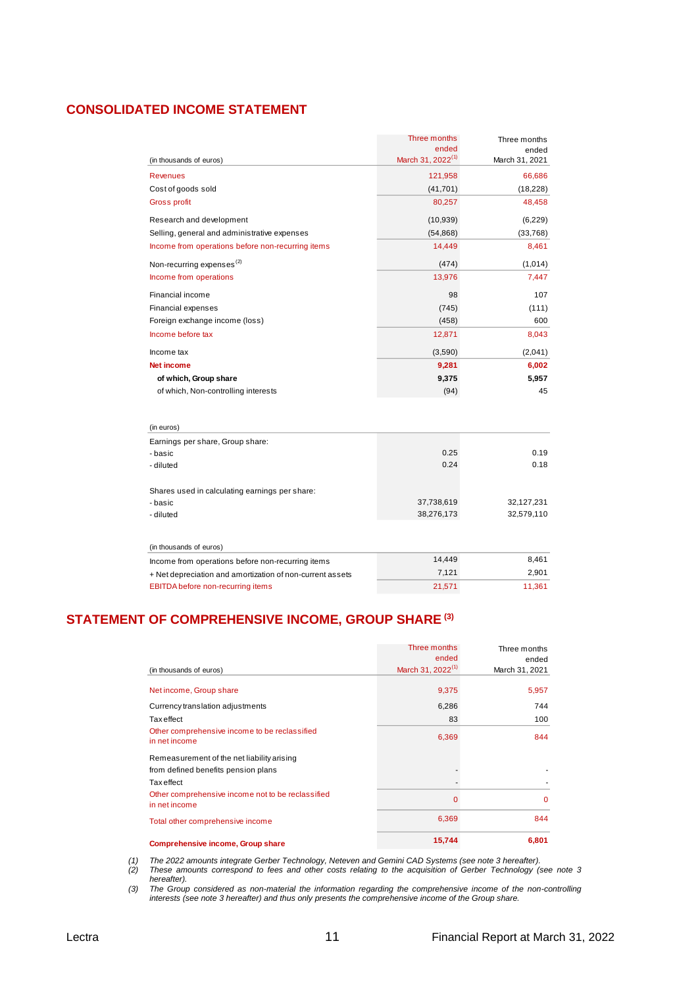# **CONSOLIDATED INCOME STATEMENT**

|                                                           | Three months                  | Three months   |
|-----------------------------------------------------------|-------------------------------|----------------|
|                                                           | ended                         | ended          |
| (in thousands of euros)                                   | March 31, 2022 <sup>(1)</sup> | March 31, 2021 |
| <b>Revenues</b>                                           | 121,958                       | 66,686         |
| Cost of goods sold                                        | (41, 701)                     | (18, 228)      |
| <b>Gross profit</b>                                       | 80,257                        | 48,458         |
| Research and development                                  | (10, 939)                     | (6,229)        |
| Selling, general and administrative expenses              | (54, 868)                     | (33,768)       |
| Income from operations before non-recurring items         | 14,449                        | 8,461          |
| Non-recurring expenses <sup>(2)</sup>                     | (474)                         | (1,014)        |
| Income from operations                                    | 13,976                        | 7,447          |
| Financial income                                          | 98                            | 107            |
| <b>Financial expenses</b>                                 | (745)                         | (111)          |
| Foreign exchange income (loss)                            | (458)                         | 600            |
| Income before tax                                         | 12,871                        | 8,043          |
| Income tax                                                | (3,590)                       | (2,041)        |
| <b>Net income</b>                                         | 9,281                         | 6,002          |
| of which, Group share                                     | 9,375                         | 5,957          |
| of which, Non-controlling interests                       | (94)                          | 45             |
|                                                           |                               |                |
| (in euros)                                                |                               |                |
| Earnings per share, Group share:                          |                               |                |
| - basic                                                   | 0.25                          | 0.19           |
| - diluted                                                 | 0.24                          | 0.18           |
| Shares used in calculating earnings per share:            |                               |                |
| - basic                                                   | 37,738,619                    | 32,127,231     |
| - diluted                                                 | 38,276,173                    | 32,579,110     |
|                                                           |                               |                |
| (in thousands of euros)                                   |                               |                |
| Income from operations before non-recurring items         | 14,449                        | 8,461          |
| + Net depreciation and amortization of non-current assets | 7,121                         | 2,901          |
| <b>EBITDA</b> before non-recurring items                  | 21,571                        | 11,361         |

# **STATEMENT OF COMPREHENSIVE INCOME, GROUP SHARE (3)**

| Other comprehensive income to be reclassified<br>in net income                    | 6,369 | 844      |
|-----------------------------------------------------------------------------------|-------|----------|
| Remeasurement of the net liability arising<br>from defined benefits pension plans |       |          |
| Tax effect                                                                        |       |          |
| Other comprehensive income not to be reclassified<br>in net income                | 0     | $\Omega$ |
| Total other comprehensive income                                                  | 6,369 | 844      |

*(1) The 2022 amounts integrate Gerber Technology, Neteven and Gemini CAD Systems (see note 3 hereafter).*

*(2) These amounts correspond to fees and other costs relating to the acquisition of Gerber Technology (see note 3 hereafter).*

*(3) The Group considered as non-material the information regarding the comprehensive income of the non-controlling interests (see note 3 hereafter) and thus only presents the comprehensive income of the Group share.*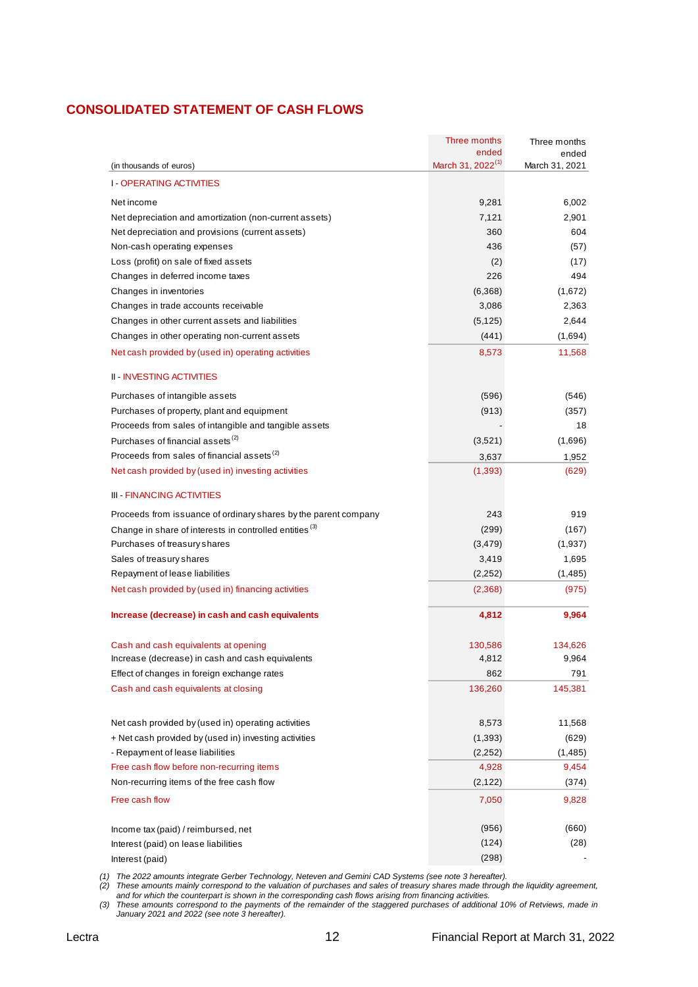# **CONSOLIDATED STATEMENT OF CASH FLOWS**

|                                                                    | Three months                           | Three months            |
|--------------------------------------------------------------------|----------------------------------------|-------------------------|
| (in thousands of euros)                                            | ended<br>March 31, 2022 <sup>(1)</sup> | ended<br>March 31, 2021 |
|                                                                    |                                        |                         |
| <b>I-OPERATING ACTIVITIES</b>                                      |                                        |                         |
| Net income                                                         | 9,281                                  | 6,002                   |
| Net depreciation and amortization (non-current assets)             | 7,121                                  | 2,901                   |
| Net depreciation and provisions (current assets)                   | 360                                    | 604                     |
| Non-cash operating expenses                                        | 436                                    | (57)                    |
| Loss (profit) on sale of fixed assets                              | (2)                                    | (17)                    |
| Changes in deferred income taxes                                   | 226                                    | 494                     |
| Changes in inventories                                             | (6,368)                                | (1,672)                 |
| Changes in trade accounts receivable                               | 3,086                                  | 2,363                   |
| Changes in other current assets and liabilities                    | (5, 125)                               | 2,644                   |
| Changes in other operating non-current assets                      | (441)                                  | (1,694)                 |
| Net cash provided by (used in) operating activities                | 8,573                                  | 11,568                  |
| <b>II - INVESTING ACTIVITIES</b>                                   |                                        |                         |
| Purchases of intangible assets                                     | (596)                                  | (546)                   |
| Purchases of property, plant and equipment                         | (913)                                  | (357)                   |
| Proceeds from sales of intangible and tangible assets              |                                        | 18                      |
| Purchases of financial assets <sup>(2)</sup>                       | (3,521)                                | (1,696)                 |
| Proceeds from sales of financial assets <sup>(2)</sup>             | 3,637                                  | 1,952                   |
| Net cash provided by (used in) investing activities                | (1, 393)                               | (629)                   |
| <b>III - FINANCING ACTIVITIES</b>                                  |                                        |                         |
| Proceeds from issuance of ordinary shares by the parent company    | 243                                    | 919                     |
| Change in share of interests in controlled entities <sup>(3)</sup> | (299)                                  | (167)                   |
| Purchases of treasury shares                                       | (3, 479)                               | (1,937)                 |
| Sales of treasury shares                                           | 3,419                                  | 1,695                   |
| Repayment of lease liabilities                                     | (2, 252)                               | (1, 485)                |
| Net cash provided by (used in) financing activities                | (2,368)                                | (975)                   |
| Increase (decrease) in cash and cash equivalents                   | 4,812                                  | 9,964                   |
| Cash and cash equivalents at opening                               | 130,586                                | 134,626                 |
| Increase (decrease) in cash and cash equivalents                   | 4,812                                  | 9,964                   |
| Effect of changes in foreign exchange rates                        | 862                                    | 791                     |
| Cash and cash equivalents at closing                               | 136,260                                | 145,381                 |
|                                                                    |                                        |                         |
| Net cash provided by (used in) operating activities                | 8,573                                  | 11,568                  |
| + Net cash provided by (used in) investing activities              | (1, 393)                               | (629)                   |
| - Repayment of lease liabilities                                   | (2, 252)                               | (1, 485)                |
| Free cash flow before non-recurring items                          | 4,928                                  | 9,454                   |
| Non-recurring items of the free cash flow                          | (2, 122)                               | (374)                   |
| Free cash flow                                                     | 7,050                                  | 9,828                   |
| Income tax (paid) / reimbursed, net                                | (956)                                  | (660)                   |
| Interest (paid) on lease liabilities                               | (124)                                  | (28)                    |
| Interest (paid)                                                    | (298)                                  |                         |
|                                                                    |                                        |                         |

*(1) The 2022 amounts integrate Gerber Technology, Neteven and Gemini CAD Systems (see note 3 hereafter).*

*(2) These amounts mainly correspond to the valuation of purchases and sales of treasury shares made through the liquidity agreement, and for which the counterpart is shown in the corresponding cash flows arising from financing activities.*

*(3) These amounts correspond to the payments of the remainder of the staggered purchases of additional 10% of Retviews, made in January 2021 and 2022 (see note 3 hereafter).*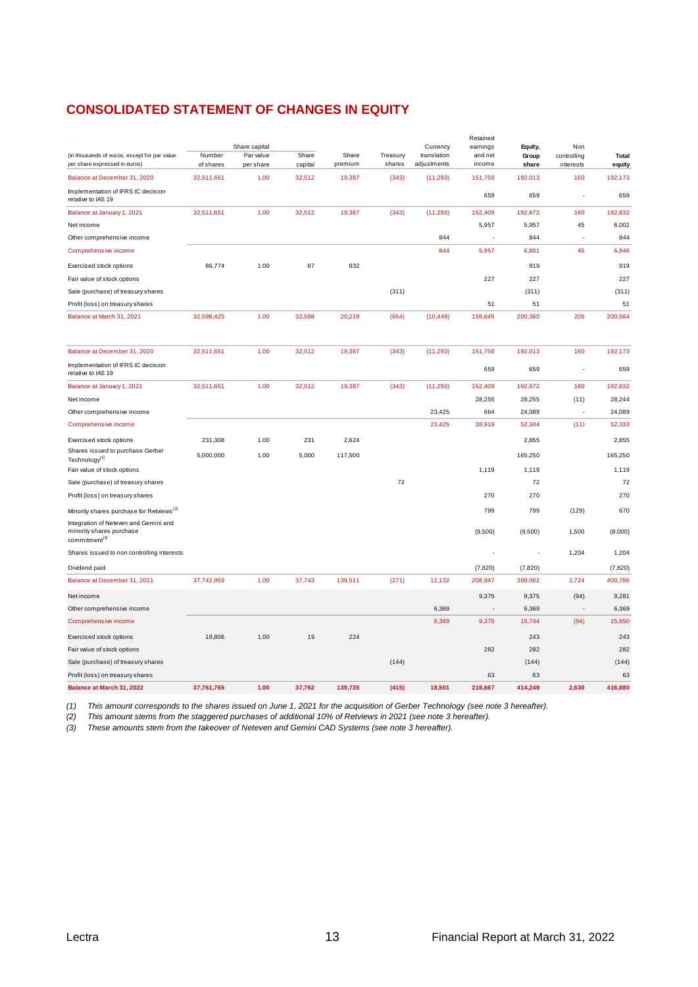# **CONSOLIDATED STATEMENT OF CHANGES IN EQUITY**

|                                                                                                |                     |                        |                  |                  |                    |                            | Retained                 |                |                          |                 |
|------------------------------------------------------------------------------------------------|---------------------|------------------------|------------------|------------------|--------------------|----------------------------|--------------------------|----------------|--------------------------|-----------------|
|                                                                                                |                     | Share capital          |                  |                  |                    | Currency                   | earnings                 | Equity,        | Non                      |                 |
| (in thousands of euros, except for par value<br>per share expressed in euros)                  | Number<br>of shares | Par value<br>per share | Share<br>capital | Share<br>premium | Treasury<br>shares | translation<br>adjustments | and net<br>income        | Group<br>share | controlling<br>interests | Total<br>equity |
| Balance at December 31, 2020                                                                   | 32,511,651          | 1.00                   | 32,512           | 19,387           | (343)              | (11, 293)                  | 151,750                  | 192,013        | 160                      | 192,173         |
| Implementation of IFRS IC decision<br>relative to IAS 19                                       |                     |                        |                  |                  |                    |                            | 659                      | 659            |                          | 659             |
| Balance at January 1, 2021                                                                     | 32,511,651          | 1.00                   | 32,512           | 19,387           | (343)              | (11, 293)                  | 152,409                  | 192,672        | 160                      | 192,832         |
| Net income                                                                                     |                     |                        |                  |                  |                    |                            | 5,957                    | 5,957          | 45                       | 6,002           |
| Other comprehensive income                                                                     |                     |                        |                  |                  |                    | 844                        | $\overline{\phantom{a}}$ | 844            | ÷.                       | 844             |
| Comprehensive income                                                                           |                     |                        |                  |                  |                    | 844                        | 5,957                    | 6,801          | 45                       | 6,846           |
| Exercised stock options                                                                        | 86,774              | 1.00                   | 87               | 832              |                    |                            |                          | 919            |                          | 919             |
| Fair value of stock options                                                                    |                     |                        |                  |                  |                    |                            | 227                      | 227            |                          | 227             |
| Sale (purchase) of treasury shares                                                             |                     |                        |                  |                  | (311)              |                            |                          | (311)          |                          | (311)           |
| Profit (loss) on treasury shares                                                               |                     |                        |                  |                  |                    |                            | 51                       | 51             |                          | 51              |
| Balance at March 31, 2021                                                                      | 32,598,425          | 1.00                   | 32,598           | 20,219           | (654)              | (10, 449)                  | 158,645                  | 200,360        | 205                      | 200,564         |
|                                                                                                |                     |                        |                  |                  |                    |                            |                          |                |                          |                 |
| Balance at December 31, 2020                                                                   | 32,511,651          | 1.00                   | 32,512           | 19,387           | (343)              | (11, 293)                  | 151,750                  | 192,013        | 160                      | 192,173         |
| Implementation of IFRS IC decision<br>relative to IAS 19                                       |                     |                        |                  |                  |                    |                            | 659                      | 659            | $\overline{\phantom{a}}$ | 659             |
| Balance at January 1, 2021                                                                     | 32,511,651          | 1.00                   | 32,512           | 19,387           | (343)              | (11, 293)                  | 152,409                  | 192,672        | 160                      | 192,832         |
| Net income                                                                                     |                     |                        |                  |                  |                    |                            | 28,255                   | 28,255         | (11)                     | 28,244          |
| Other comprehensive income                                                                     |                     |                        |                  |                  |                    | 23,425                     | 664                      | 24,089         | $\overline{\phantom{a}}$ | 24,089          |
| Comprehensive income                                                                           |                     |                        |                  |                  |                    | 23,425                     | 28,919                   | 52,344         | (11)                     | 52,333          |
| Exercised stock options                                                                        | 231,308             | 1.00                   | 231              | 2,624            |                    |                            |                          | 2,855          |                          | 2,855           |
| Shares issued to purchase Gerber<br>Technology <sup>(1)</sup>                                  | 5,000,000           | 1.00                   | 5,000            | 117,500          |                    |                            |                          | 165,250        |                          | 165,250         |
| Fair value of stock options                                                                    |                     |                        |                  |                  |                    |                            | 1,119                    | 1,119          |                          | 1,119           |
| Sale (purchase) of treasury shares                                                             |                     |                        |                  |                  | 72                 |                            |                          | 72             |                          | 72              |
| Profit (loss) on treasury shares                                                               |                     |                        |                  |                  |                    |                            | 270                      | 270            |                          | 270             |
| Minority shares purchase for Retviews <sup>(2)</sup>                                           |                     |                        |                  |                  |                    |                            | 799                      | 799            | (129)                    | 670             |
| Integration of Neteven and Gemini and<br>minority shares purchase<br>commitment <sup>(3)</sup> |                     |                        |                  |                  |                    |                            | (9,500)                  | (9,500)        | 1,500                    | (8,000)         |
| Shares issued to non controlling interests                                                     |                     |                        |                  |                  |                    |                            |                          | ٠              | 1,204                    | 1,204           |
| Dividend paid                                                                                  |                     |                        |                  |                  |                    |                            | (7, 820)                 | (7, 820)       |                          | (7, 820)        |
| Balance at December 31, 2021                                                                   | 37,742,959          | 1.00                   | 37,743           | 139,511          | (271)              | 12,132                     | 208,947                  | 398,062        | 2,724                    | 400,786         |
| Net income                                                                                     |                     |                        |                  |                  |                    |                            | 9,375                    | 9,375          | (94)                     | 9,281           |
| Other comprehensive income                                                                     |                     |                        |                  |                  |                    | 6,369                      | $\overline{\phantom{a}}$ | 6,369          |                          | 6,369           |
| Comprehensive income                                                                           |                     |                        |                  |                  |                    | 6,369                      | 9,375                    | 15,744         | (94)                     | 15,650          |
| Exercised stock options                                                                        | 18,806              | 1.00                   | 19               | 224              |                    |                            |                          | 243            |                          | 243             |
| Fair value of stock options                                                                    |                     |                        |                  |                  |                    |                            | 282                      | 282            |                          | 282             |
| Sale (purchase) of treasury shares                                                             |                     |                        |                  |                  | (144)              |                            |                          | (144)          |                          | (144)           |
| Profit (loss) on treasury shares                                                               |                     |                        |                  |                  |                    |                            | 63                       | 63             |                          | 63              |
| Balance at March 31, 2022                                                                      | 37,761,765          | 1.00                   | 37,762           | 139,735          | (415)              | 18,501                     | 218,667                  | 414,249        | 2,630                    | 416,880         |

*(1) This amount corresponds to the shares issued on June 1, 2021 for the acquisition of Gerber Technology (see note 3 hereafter).*

*(2) This amount stems from the staggered purchases of additional 10% of Retviews in 2021 (see note 3 hereafter).*

*(3) These amounts stem from the takeover of Neteven and Gemini CAD Systems (see note 3 hereafter).*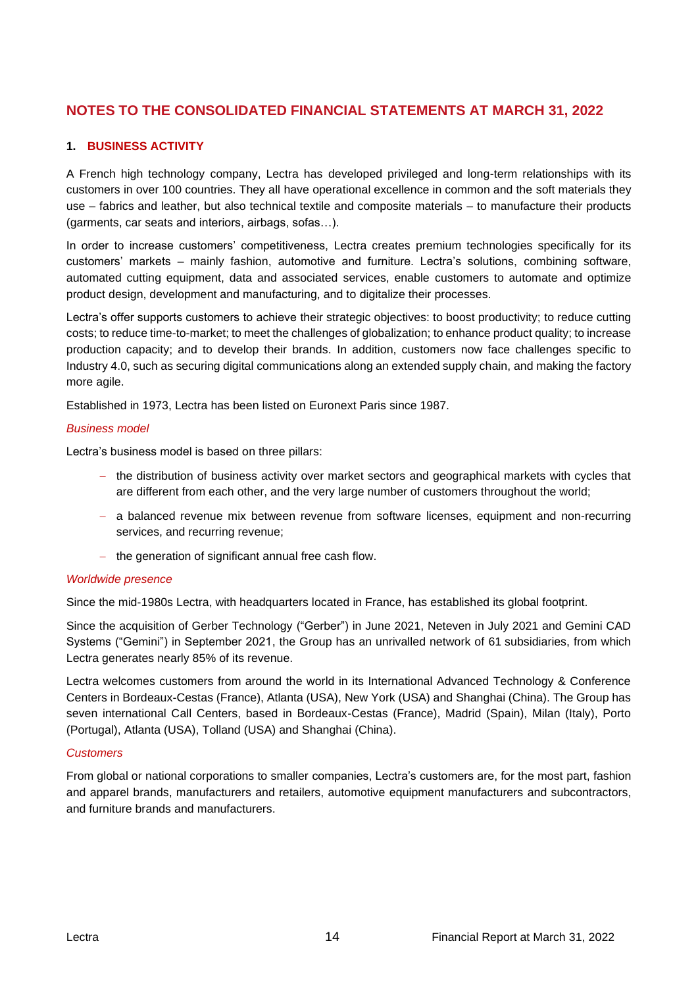# **NOTES TO THE CONSOLIDATED FINANCIAL STATEMENTS AT MARCH 31, 2022**

## **1. BUSINESS ACTIVITY**

A French high technology company, Lectra has developed privileged and long-term relationships with its customers in over 100 countries. They all have operational excellence in common and the soft materials they use – fabrics and leather, but also technical textile and composite materials – to manufacture their products (garments, car seats and interiors, airbags, sofas…).

In order to increase customers' competitiveness, Lectra creates premium technologies specifically for its customers' markets – mainly fashion, automotive and furniture. Lectra's solutions, combining software, automated cutting equipment, data and associated services, enable customers to automate and optimize product design, development and manufacturing, and to digitalize their processes.

Lectra's offer supports customers to achieve their strategic objectives: to boost productivity; to reduce cutting costs; to reduce time-to-market; to meet the challenges of globalization; to enhance product quality; to increase production capacity; and to develop their brands. In addition, customers now face challenges specific to Industry 4.0, such as securing digital communications along an extended supply chain, and making the factory more agile.

Established in 1973, Lectra has been listed on Euronext Paris since 1987.

#### *Business model*

Lectra's business model is based on three pillars:

- − the distribution of business activity over market sectors and geographical markets with cycles that are different from each other, and the very large number of customers throughout the world;
- − a balanced revenue mix between revenue from software licenses, equipment and non-recurring services, and recurring revenue;
- − the generation of significant annual free cash flow.

#### *Worldwide presence*

Since the mid-1980s Lectra, with headquarters located in France, has established its global footprint.

Since the acquisition of Gerber Technology ("Gerber") in June 2021, Neteven in July 2021 and Gemini CAD Systems ("Gemini") in September 2021, the Group has an unrivalled network of 61 subsidiaries, from which Lectra generates nearly 85% of its revenue.

Lectra welcomes customers from around the world in its International Advanced Technology & Conference Centers in Bordeaux-Cestas (France), Atlanta (USA), New York (USA) and Shanghai (China). The Group has seven international Call Centers, based in Bordeaux-Cestas (France), Madrid (Spain), Milan (Italy), Porto (Portugal), Atlanta (USA), Tolland (USA) and Shanghai (China).

#### *Customers*

From global or national corporations to smaller companies, Lectra's customers are, for the most part, fashion and apparel brands, manufacturers and retailers, automotive equipment manufacturers and subcontractors, and furniture brands and manufacturers.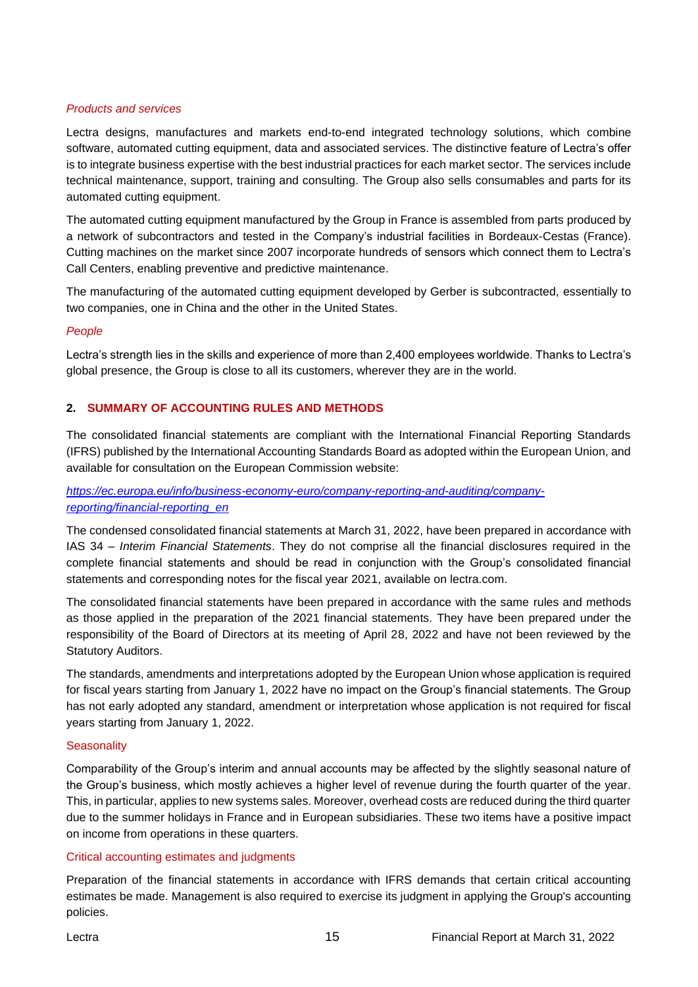#### *Products and services*

Lectra designs, manufactures and markets end-to-end integrated technology solutions, which combine software, automated cutting equipment, data and associated services. The distinctive feature of Lectra's offer is to integrate business expertise with the best industrial practices for each market sector. The services include technical maintenance, support, training and consulting. The Group also sells consumables and parts for its automated cutting equipment.

The automated cutting equipment manufactured by the Group in France is assembled from parts produced by a network of subcontractors and tested in the Company's industrial facilities in Bordeaux-Cestas (France). Cutting machines on the market since 2007 incorporate hundreds of sensors which connect them to Lectra's Call Centers, enabling preventive and predictive maintenance.

The manufacturing of the automated cutting equipment developed by Gerber is subcontracted, essentially to two companies, one in China and the other in the United States.

#### *People*

Lectra's strength lies in the skills and experience of more than 2,400 employees worldwide. Thanks to Lectra's global presence, the Group is close to all its customers, wherever they are in the world.

## **2. SUMMARY OF ACCOUNTING RULES AND METHODS**

The consolidated financial statements are compliant with the International Financial Reporting Standards (IFRS) published by the International Accounting Standards Board as adopted within the European Union, and available for consultation on the European Commission website:

*https://ec.europa.eu/info/business-economy-euro/company-reporting-and-auditing/companyreporting/financial-reporting\_en*

The condensed consolidated financial statements at March 31, 2022, have been prepared in accordance with IAS 34 – *Interim Financial Statements*. They do not comprise all the financial disclosures required in the complete financial statements and should be read in conjunction with the Group's consolidated financial statements and corresponding notes for the fiscal year 2021, available on lectra.com.

The consolidated financial statements have been prepared in accordance with the same rules and methods as those applied in the preparation of the 2021 financial statements. They have been prepared under the responsibility of the Board of Directors at its meeting of April 28, 2022 and have not been reviewed by the Statutory Auditors.

The standards, amendments and interpretations adopted by the European Union whose application is required for fiscal years starting from January 1, 2022 have no impact on the Group's financial statements. The Group has not early adopted any standard, amendment or interpretation whose application is not required for fiscal years starting from January 1, 2022.

#### **Seasonality**

Comparability of the Group's interim and annual accounts may be affected by the slightly seasonal nature of the Group's business, which mostly achieves a higher level of revenue during the fourth quarter of the year. This, in particular, applies to new systems sales. Moreover, overhead costs are reduced during the third quarter due to the summer holidays in France and in European subsidiaries. These two items have a positive impact on income from operations in these quarters.

#### Critical accounting estimates and judgments

Preparation of the financial statements in accordance with IFRS demands that certain critical accounting estimates be made. Management is also required to exercise its judgment in applying the Group's accounting policies.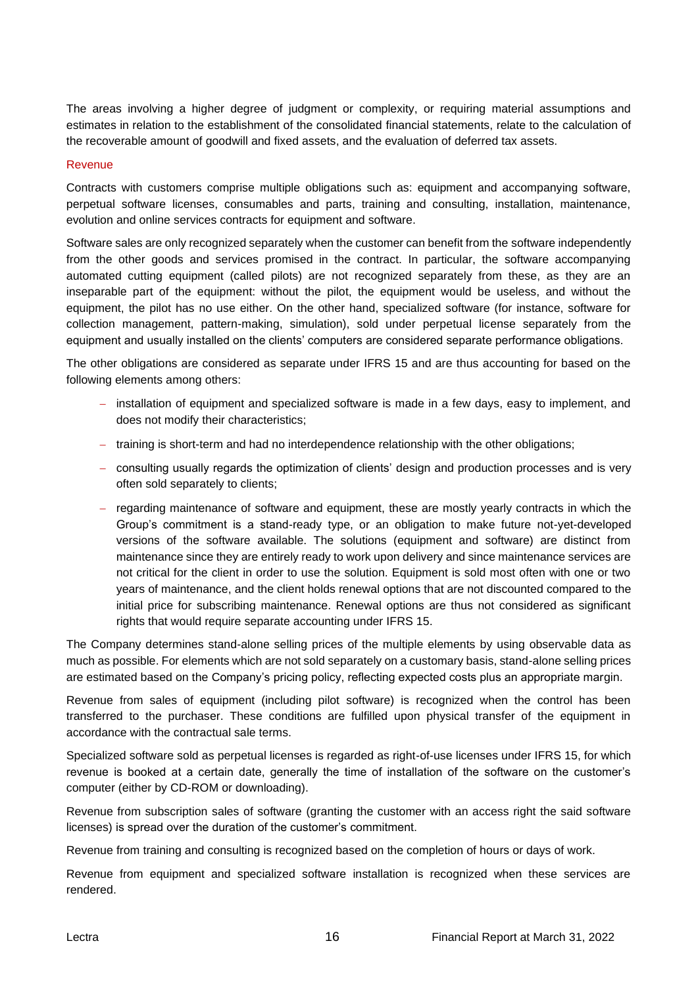The areas involving a higher degree of judgment or complexity, or requiring material assumptions and estimates in relation to the establishment of the consolidated financial statements, relate to the calculation of the recoverable amount of goodwill and fixed assets, and the evaluation of deferred tax assets.

#### Revenue

Contracts with customers comprise multiple obligations such as: equipment and accompanying software, perpetual software licenses, consumables and parts, training and consulting, installation, maintenance, evolution and online services contracts for equipment and software.

Software sales are only recognized separately when the customer can benefit from the software independently from the other goods and services promised in the contract. In particular, the software accompanying automated cutting equipment (called pilots) are not recognized separately from these, as they are an inseparable part of the equipment: without the pilot, the equipment would be useless, and without the equipment, the pilot has no use either. On the other hand, specialized software (for instance, software for collection management, pattern-making, simulation), sold under perpetual license separately from the equipment and usually installed on the clients' computers are considered separate performance obligations.

The other obligations are considered as separate under IFRS 15 and are thus accounting for based on the following elements among others:

- − installation of equipment and specialized software is made in a few days, easy to implement, and does not modify their characteristics;
- − training is short-term and had no interdependence relationship with the other obligations;
- − consulting usually regards the optimization of clients' design and production processes and is very often sold separately to clients;
- − regarding maintenance of software and equipment, these are mostly yearly contracts in which the Group's commitment is a stand-ready type, or an obligation to make future not-yet-developed versions of the software available. The solutions (equipment and software) are distinct from maintenance since they are entirely ready to work upon delivery and since maintenance services are not critical for the client in order to use the solution. Equipment is sold most often with one or two years of maintenance, and the client holds renewal options that are not discounted compared to the initial price for subscribing maintenance. Renewal options are thus not considered as significant rights that would require separate accounting under IFRS 15.

The Company determines stand-alone selling prices of the multiple elements by using observable data as much as possible. For elements which are not sold separately on a customary basis, stand-alone selling prices are estimated based on the Company's pricing policy, reflecting expected costs plus an appropriate margin.

Revenue from sales of equipment (including pilot software) is recognized when the control has been transferred to the purchaser. These conditions are fulfilled upon physical transfer of the equipment in accordance with the contractual sale terms.

Specialized software sold as perpetual licenses is regarded as right-of-use licenses under IFRS 15, for which revenue is booked at a certain date, generally the time of installation of the software on the customer's computer (either by CD-ROM or downloading).

Revenue from subscription sales of software (granting the customer with an access right the said software licenses) is spread over the duration of the customer's commitment.

Revenue from training and consulting is recognized based on the completion of hours or days of work.

Revenue from equipment and specialized software installation is recognized when these services are rendered.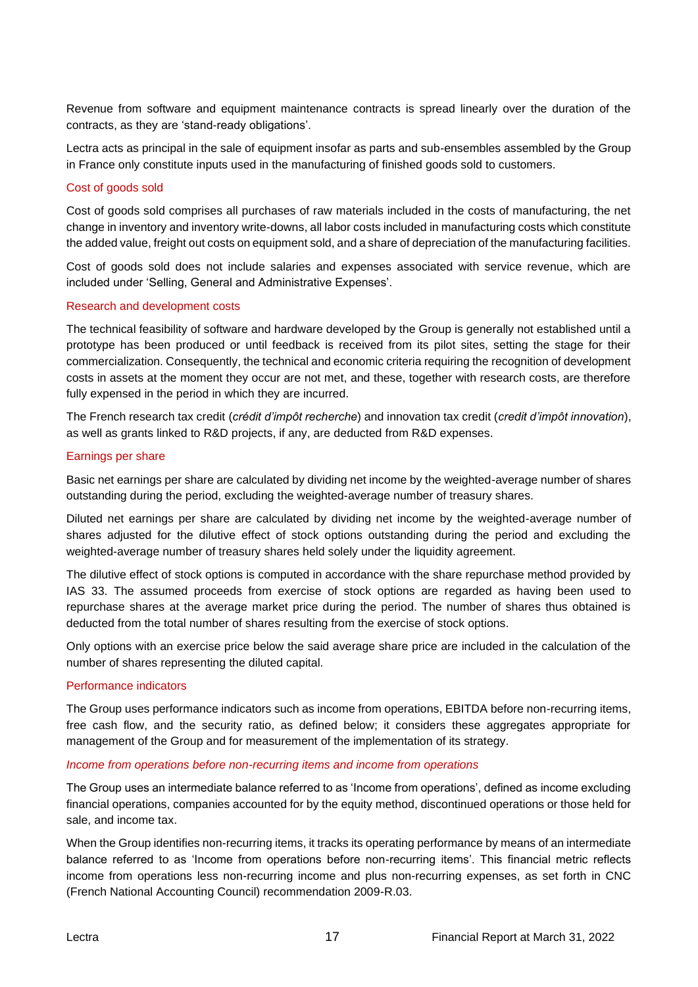Revenue from software and equipment maintenance contracts is spread linearly over the duration of the contracts, as they are 'stand-ready obligations'.

Lectra acts as principal in the sale of equipment insofar as parts and sub-ensembles assembled by the Group in France only constitute inputs used in the manufacturing of finished goods sold to customers.

#### Cost of goods sold

Cost of goods sold comprises all purchases of raw materials included in the costs of manufacturing, the net change in inventory and inventory write-downs, all labor costs included in manufacturing costs which constitute the added value, freight out costs on equipment sold, and a share of depreciation of the manufacturing facilities.

Cost of goods sold does not include salaries and expenses associated with service revenue, which are included under 'Selling, General and Administrative Expenses'.

#### Research and development costs

The technical feasibility of software and hardware developed by the Group is generally not established until a prototype has been produced or until feedback is received from its pilot sites, setting the stage for their commercialization. Consequently, the technical and economic criteria requiring the recognition of development costs in assets at the moment they occur are not met, and these, together with research costs, are therefore fully expensed in the period in which they are incurred.

The French research tax credit (*crédit d'impôt recherche*) and innovation tax credit (*credit d'impôt innovation*), as well as grants linked to R&D projects, if any, are deducted from R&D expenses.

#### Earnings per share

Basic net earnings per share are calculated by dividing net income by the weighted-average number of shares outstanding during the period, excluding the weighted-average number of treasury shares.

Diluted net earnings per share are calculated by dividing net income by the weighted-average number of shares adjusted for the dilutive effect of stock options outstanding during the period and excluding the weighted-average number of treasury shares held solely under the liquidity agreement.

The dilutive effect of stock options is computed in accordance with the share repurchase method provided by IAS 33. The assumed proceeds from exercise of stock options are regarded as having been used to repurchase shares at the average market price during the period. The number of shares thus obtained is deducted from the total number of shares resulting from the exercise of stock options.

Only options with an exercise price below the said average share price are included in the calculation of the number of shares representing the diluted capital.

#### Performance indicators

The Group uses performance indicators such as income from operations, EBITDA before non-recurring items, free cash flow, and the security ratio, as defined below; it considers these aggregates appropriate for management of the Group and for measurement of the implementation of its strategy.

#### *Income from operations before non-recurring items and income from operations*

The Group uses an intermediate balance referred to as 'Income from operations', defined as income excluding financial operations, companies accounted for by the equity method, discontinued operations or those held for sale, and income tax.

When the Group identifies non-recurring items, it tracks its operating performance by means of an intermediate balance referred to as 'Income from operations before non-recurring items'. This financial metric reflects income from operations less non-recurring income and plus non-recurring expenses, as set forth in CNC (French National Accounting Council) recommendation 2009-R.03.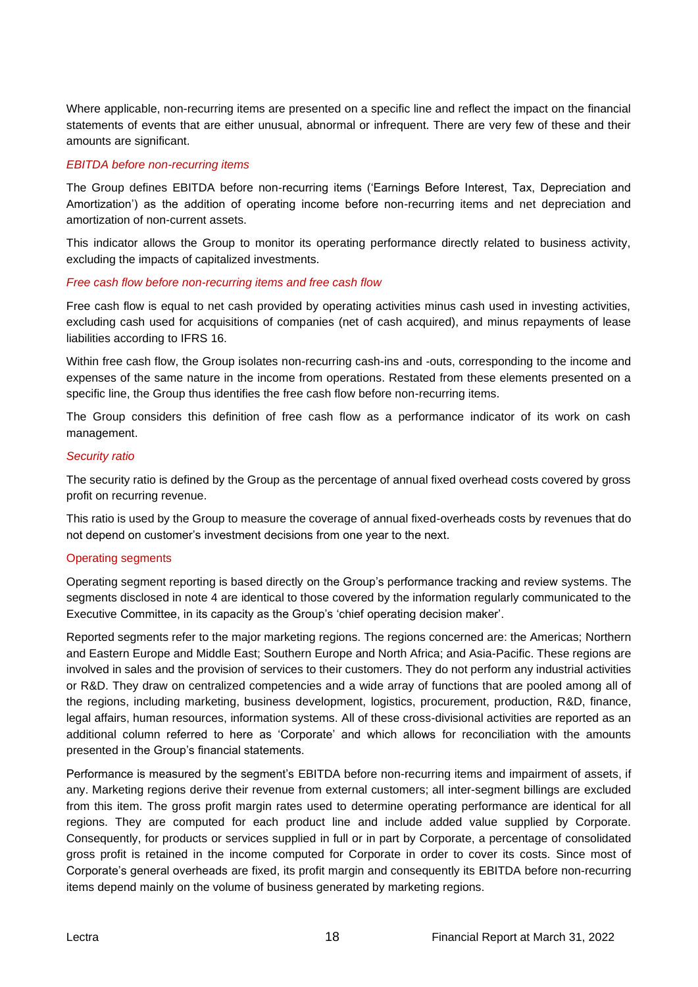Where applicable, non-recurring items are presented on a specific line and reflect the impact on the financial statements of events that are either unusual, abnormal or infrequent. There are very few of these and their amounts are significant.

#### *EBITDA before non-recurring items*

The Group defines EBITDA before non-recurring items ('Earnings Before Interest, Tax, Depreciation and Amortization') as the addition of operating income before non-recurring items and net depreciation and amortization of non-current assets.

This indicator allows the Group to monitor its operating performance directly related to business activity, excluding the impacts of capitalized investments.

#### *Free cash flow before non-recurring items and free cash flow*

Free cash flow is equal to net cash provided by operating activities minus cash used in investing activities, excluding cash used for acquisitions of companies (net of cash acquired), and minus repayments of lease liabilities according to IFRS 16.

Within free cash flow, the Group isolates non-recurring cash-ins and -outs, corresponding to the income and expenses of the same nature in the income from operations. Restated from these elements presented on a specific line, the Group thus identifies the free cash flow before non-recurring items.

The Group considers this definition of free cash flow as a performance indicator of its work on cash management.

#### *Security ratio*

The security ratio is defined by the Group as the percentage of annual fixed overhead costs covered by gross profit on recurring revenue.

This ratio is used by the Group to measure the coverage of annual fixed-overheads costs by revenues that do not depend on customer's investment decisions from one year to the next.

#### Operating segments

Operating segment reporting is based directly on the Group's performance tracking and review systems. The segments disclosed in note 4 are identical to those covered by the information regularly communicated to the Executive Committee, in its capacity as the Group's 'chief operating decision maker'.

Reported segments refer to the major marketing regions. The regions concerned are: the Americas; Northern and Eastern Europe and Middle East; Southern Europe and North Africa; and Asia-Pacific. These regions are involved in sales and the provision of services to their customers. They do not perform any industrial activities or R&D. They draw on centralized competencies and a wide array of functions that are pooled among all of the regions, including marketing, business development, logistics, procurement, production, R&D, finance, legal affairs, human resources, information systems. All of these cross-divisional activities are reported as an additional column referred to here as 'Corporate' and which allows for reconciliation with the amounts presented in the Group's financial statements.

Performance is measured by the segment's EBITDA before non-recurring items and impairment of assets, if any. Marketing regions derive their revenue from external customers; all inter-segment billings are excluded from this item. The gross profit margin rates used to determine operating performance are identical for all regions. They are computed for each product line and include added value supplied by Corporate. Consequently, for products or services supplied in full or in part by Corporate, a percentage of consolidated gross profit is retained in the income computed for Corporate in order to cover its costs. Since most of Corporate's general overheads are fixed, its profit margin and consequently its EBITDA before non-recurring items depend mainly on the volume of business generated by marketing regions.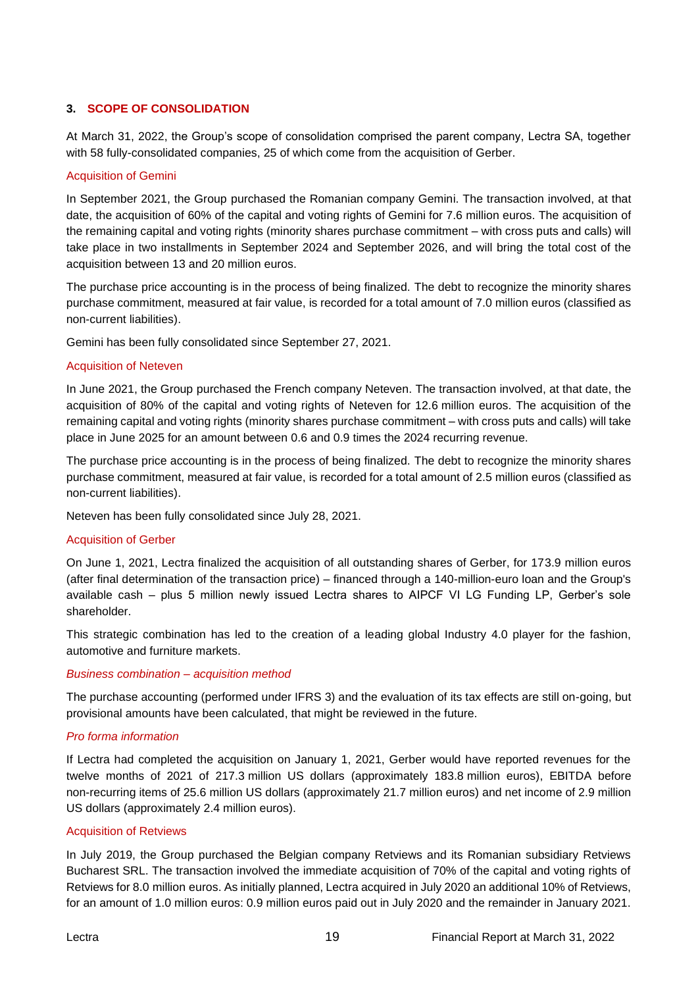## **3. SCOPE OF CONSOLIDATION**

At March 31, 2022, the Group's scope of consolidation comprised the parent company, Lectra SA, together with 58 fully-consolidated companies, 25 of which come from the acquisition of Gerber.

#### Acquisition of Gemini

In September 2021, the Group purchased the Romanian company Gemini. The transaction involved, at that date, the acquisition of 60% of the capital and voting rights of Gemini for 7.6 million euros. The acquisition of the remaining capital and voting rights (minority shares purchase commitment – with cross puts and calls) will take place in two installments in September 2024 and September 2026, and will bring the total cost of the acquisition between 13 and 20 million euros.

The purchase price accounting is in the process of being finalized. The debt to recognize the minority shares purchase commitment, measured at fair value, is recorded for a total amount of 7.0 million euros (classified as non-current liabilities).

Gemini has been fully consolidated since September 27, 2021.

#### Acquisition of Neteven

In June 2021, the Group purchased the French company Neteven. The transaction involved, at that date, the acquisition of 80% of the capital and voting rights of Neteven for 12.6 million euros. The acquisition of the remaining capital and voting rights (minority shares purchase commitment – with cross puts and calls) will take place in June 2025 for an amount between 0.6 and 0.9 times the 2024 recurring revenue.

The purchase price accounting is in the process of being finalized. The debt to recognize the minority shares purchase commitment, measured at fair value, is recorded for a total amount of 2.5 million euros (classified as non-current liabilities).

Neteven has been fully consolidated since July 28, 2021.

#### Acquisition of Gerber

On June 1, 2021, Lectra finalized the acquisition of all outstanding shares of Gerber, for 173.9 million euros (after final determination of the transaction price) – financed through a 140-million-euro loan and the Group's available cash – plus 5 million newly issued Lectra shares to AIPCF VI LG Funding LP, Gerber's sole shareholder.

This strategic combination has led to the creation of a leading global Industry 4.0 player for the fashion, automotive and furniture markets.

#### *Business combination – acquisition method*

The purchase accounting (performed under IFRS 3) and the evaluation of its tax effects are still on-going, but provisional amounts have been calculated, that might be reviewed in the future.

#### *Pro forma information*

If Lectra had completed the acquisition on January 1, 2021, Gerber would have reported revenues for the twelve months of 2021 of 217.3 million US dollars (approximately 183.8 million euros), EBITDA before non-recurring items of 25.6 million US dollars (approximately 21.7 million euros) and net income of 2.9 million US dollars (approximately 2.4 million euros).

#### Acquisition of Retviews

In July 2019, the Group purchased the Belgian company Retviews and its Romanian subsidiary Retviews Bucharest SRL. The transaction involved the immediate acquisition of 70% of the capital and voting rights of Retviews for 8.0 million euros. As initially planned, Lectra acquired in July 2020 an additional 10% of Retviews, for an amount of 1.0 million euros: 0.9 million euros paid out in July 2020 and the remainder in January 2021.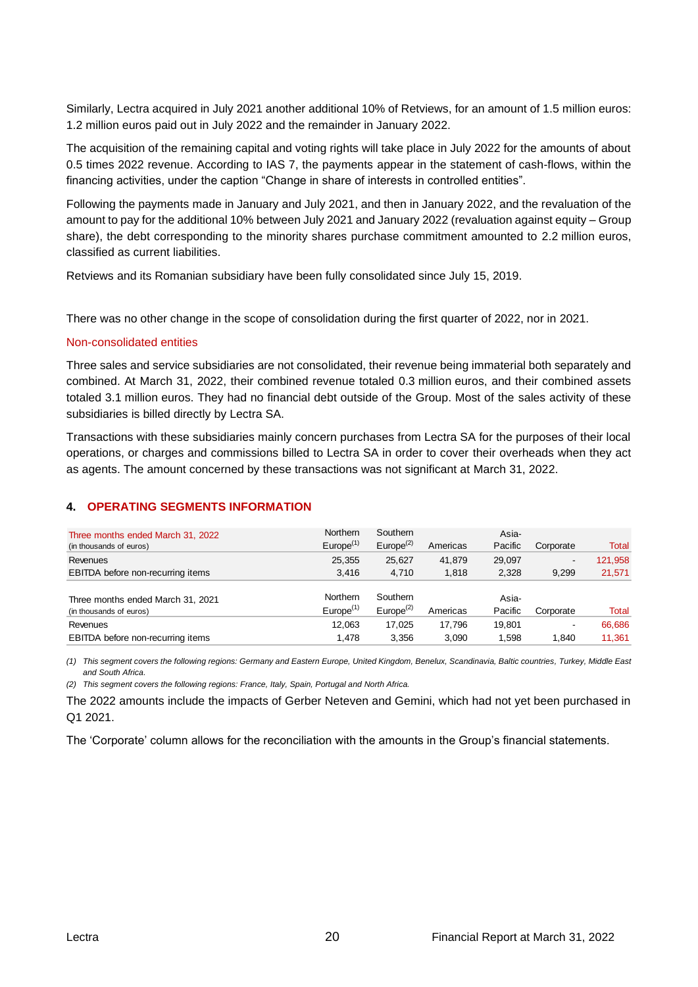Similarly, Lectra acquired in July 2021 another additional 10% of Retviews, for an amount of 1.5 million euros: 1.2 million euros paid out in July 2022 and the remainder in January 2022.

The acquisition of the remaining capital and voting rights will take place in July 2022 for the amounts of about 0.5 times 2022 revenue. According to IAS 7, the payments appear in the statement of cash-flows, within the financing activities, under the caption "Change in share of interests in controlled entities".

Following the payments made in January and July 2021, and then in January 2022, and the revaluation of the amount to pay for the additional 10% between July 2021 and January 2022 (revaluation against equity – Group share), the debt corresponding to the minority shares purchase commitment amounted to 2.2 million euros, classified as current liabilities.

Retviews and its Romanian subsidiary have been fully consolidated since July 15, 2019.

There was no other change in the scope of consolidation during the first quarter of 2022, nor in 2021.

#### Non-consolidated entities

Three sales and service subsidiaries are not consolidated, their revenue being immaterial both separately and combined. At March 31, 2022, their combined revenue totaled 0.3 million euros, and their combined assets totaled 3.1 million euros. They had no financial debt outside of the Group. Most of the sales activity of these subsidiaries is billed directly by Lectra SA.

Transactions with these subsidiaries mainly concern purchases from Lectra SA for the purposes of their local operations, or charges and commissions billed to Lectra SA in order to cover their overheads when they act as agents. The amount concerned by these transactions was not significant at March 31, 2022.

#### **4. OPERATING SEGMENTS INFORMATION**

| Three months ended March 31, 2022<br>(in thousands of euros) | <b>Northern</b><br>$Europe^{(1)}$ | Southern<br>$Europe^{(2)}$        | Americas | Asia-<br>Pacific | Corporate | Total   |
|--------------------------------------------------------------|-----------------------------------|-----------------------------------|----------|------------------|-----------|---------|
| Revenues                                                     | 25.355                            | 25,627                            | 41.879   | 29,097           | -         | 121,958 |
| EBITDA before non-recurring items                            | 3.416                             | 4.710                             | 1.818    | 2,328            | 9,299     | 21,571  |
| Three months ended March 31, 2021<br>(in thousands of euros) | Northern<br>$Europe^{(1)}$        | Southern<br>Europe <sup>(2)</sup> | Americas | Asia-<br>Pacific | Corporate | Total   |
| Revenues                                                     | 12.063                            | 17.025                            | 17.796   | 19.801           | -         | 66,686  |
| EBITDA before non-recurring items                            | 1.478                             | 3,356                             | 3.090    | 1.598            | 1.840     | 11.361  |

*(1) This segment covers the following regions: Germany and Eastern Europe, United Kingdom, Benelux, Scandinavia, Baltic countries, Turkey, Middle East and South Africa.*

*(2) This segment covers the following regions: France, Italy, Spain, Portugal and North Africa.*

The 2022 amounts include the impacts of Gerber Neteven and Gemini, which had not yet been purchased in Q1 2021.

The 'Corporate' column allows for the reconciliation with the amounts in the Group's financial statements.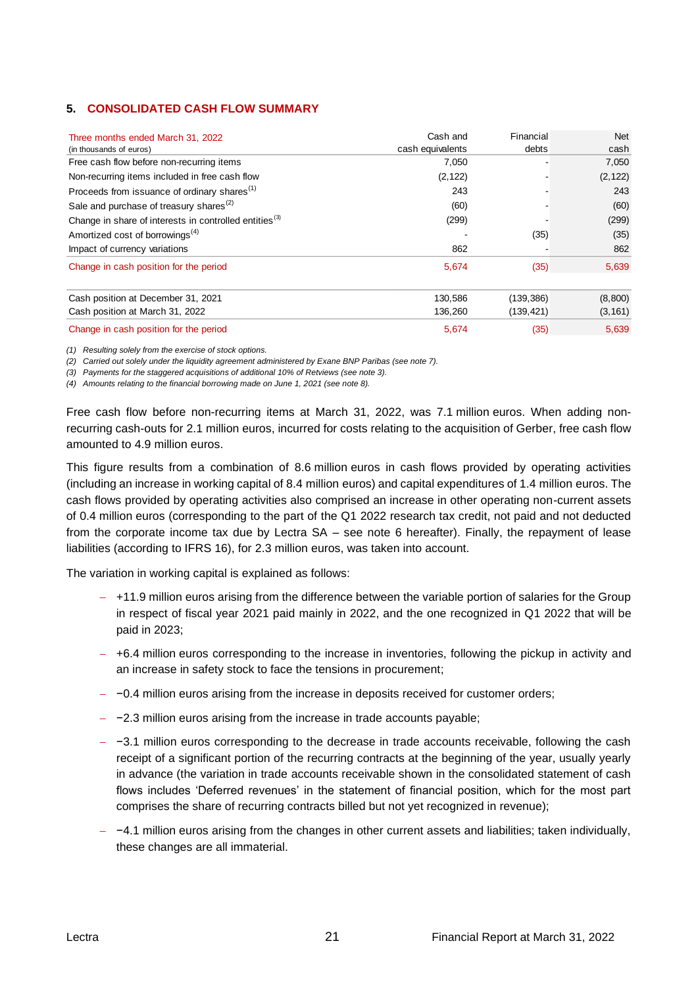## **5. CONSOLIDATED CASH FLOW SUMMARY**

| Three months ended March 31, 2022                                  | Cash and         | Financial  | <b>Net</b> |
|--------------------------------------------------------------------|------------------|------------|------------|
| (in thousands of euros)                                            | cash equivalents | debts      | cash       |
| Free cash flow before non-recurring items                          | 7,050            |            | 7,050      |
| Non-recurring items included in free cash flow                     | (2, 122)         |            | (2, 122)   |
| Proceeds from issuance of ordinary shares <sup>(1)</sup>           | 243              |            | 243        |
| Sale and purchase of treasury shares <sup>(2)</sup>                | (60)             |            | (60)       |
| Change in share of interests in controlled entities <sup>(3)</sup> | (299)            |            | (299)      |
| Amortized cost of borrowings <sup>(4)</sup>                        |                  | (35)       | (35)       |
| Impact of currency variations                                      | 862              |            | 862        |
| Change in cash position for the period                             | 5,674            | (35)       | 5,639      |
| Cash position at December 31, 2021                                 | 130,586          | (139, 386) | (8,800)    |
| Cash position at March 31, 2022                                    | 136,260          | (139, 421) | (3, 161)   |
| Change in cash position for the period                             | 5,674            | (35)       | 5,639      |

*(1) Resulting solely from the exercise of stock options.*

*(2) Carried out solely under the liquidity agreement administered by Exane BNP Paribas (see note 7).*

*(3) Payments for the staggered acquisitions of additional 10% of Retviews (see note 3).*

*(4) Amounts relating to the financial borrowing made on June 1, 2021 (see note 8).*

Free cash flow before non-recurring items at March 31, 2022, was 7.1 million euros. When adding nonrecurring cash-outs for 2.1 million euros, incurred for costs relating to the acquisition of Gerber, free cash flow amounted to 4.9 million euros.

This figure results from a combination of 8.6 million euros in cash flows provided by operating activities (including an increase in working capital of 8.4 million euros) and capital expenditures of 1.4 million euros. The cash flows provided by operating activities also comprised an increase in other operating non-current assets of 0.4 million euros (corresponding to the part of the Q1 2022 research tax credit, not paid and not deducted from the corporate income tax due by Lectra SA – see note 6 hereafter). Finally, the repayment of lease liabilities (according to IFRS 16), for 2.3 million euros, was taken into account.

The variation in working capital is explained as follows:

- − +11.9 million euros arising from the difference between the variable portion of salaries for the Group in respect of fiscal year 2021 paid mainly in 2022, and the one recognized in Q1 2022 that will be paid in 2023;
- − +6.4 million euros corresponding to the increase in inventories, following the pickup in activity and an increase in safety stock to face the tensions in procurement;
- − −0.4 million euros arising from the increase in deposits received for customer orders;
- − −2.3 million euros arising from the increase in trade accounts payable;
- − −3.1 million euros corresponding to the decrease in trade accounts receivable, following the cash receipt of a significant portion of the recurring contracts at the beginning of the year, usually yearly in advance (the variation in trade accounts receivable shown in the consolidated statement of cash flows includes 'Deferred revenues' in the statement of financial position, which for the most part comprises the share of recurring contracts billed but not yet recognized in revenue);
- − −4.1 million euros arising from the changes in other current assets and liabilities; taken individually, these changes are all immaterial.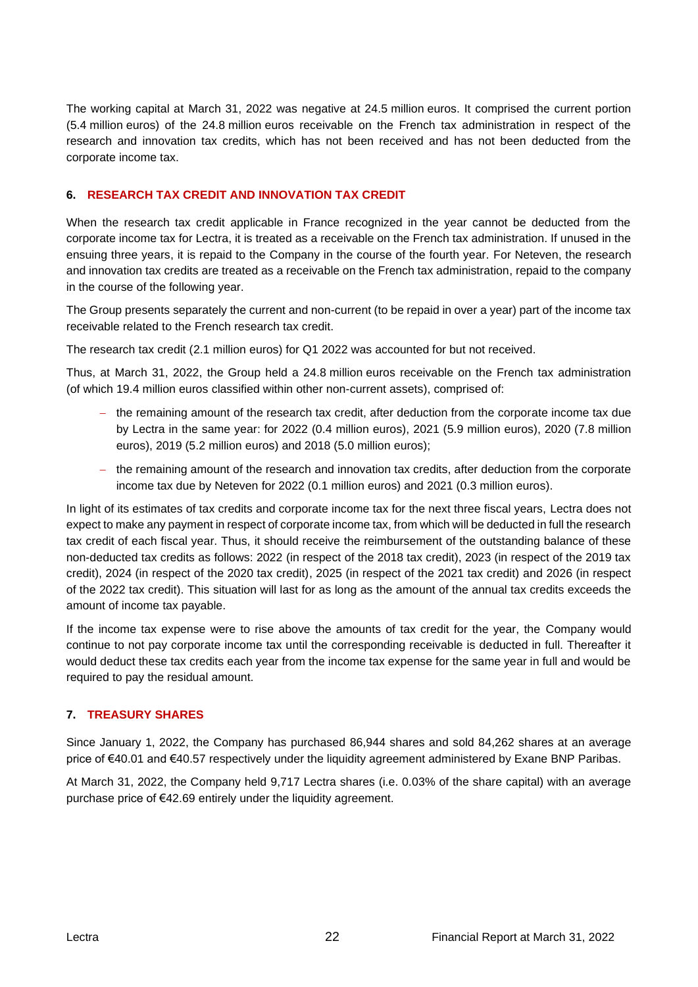The working capital at March 31, 2022 was negative at 24.5 million euros. It comprised the current portion (5.4 million euros) of the 24.8 million euros receivable on the French tax administration in respect of the research and innovation tax credits, which has not been received and has not been deducted from the corporate income tax.

# **6. RESEARCH TAX CREDIT AND INNOVATION TAX CREDIT**

When the research tax credit applicable in France recognized in the year cannot be deducted from the corporate income tax for Lectra, it is treated as a receivable on the French tax administration. If unused in the ensuing three years, it is repaid to the Company in the course of the fourth year. For Neteven, the research and innovation tax credits are treated as a receivable on the French tax administration, repaid to the company in the course of the following year.

The Group presents separately the current and non-current (to be repaid in over a year) part of the income tax receivable related to the French research tax credit.

The research tax credit (2.1 million euros) for Q1 2022 was accounted for but not received.

Thus, at March 31, 2022, the Group held a 24.8 million euros receivable on the French tax administration (of which 19.4 million euros classified within other non-current assets), comprised of:

- − the remaining amount of the research tax credit, after deduction from the corporate income tax due by Lectra in the same year: for 2022 (0.4 million euros), 2021 (5.9 million euros), 2020 (7.8 million euros), 2019 (5.2 million euros) and 2018 (5.0 million euros);
- − the remaining amount of the research and innovation tax credits, after deduction from the corporate income tax due by Neteven for 2022 (0.1 million euros) and 2021 (0.3 million euros).

In light of its estimates of tax credits and corporate income tax for the next three fiscal years, Lectra does not expect to make any payment in respect of corporate income tax, from which will be deducted in full the research tax credit of each fiscal year. Thus, it should receive the reimbursement of the outstanding balance of these non-deducted tax credits as follows: 2022 (in respect of the 2018 tax credit), 2023 (in respect of the 2019 tax credit), 2024 (in respect of the 2020 tax credit), 2025 (in respect of the 2021 tax credit) and 2026 (in respect of the 2022 tax credit). This situation will last for as long as the amount of the annual tax credits exceeds the amount of income tax payable.

If the income tax expense were to rise above the amounts of tax credit for the year, the Company would continue to not pay corporate income tax until the corresponding receivable is deducted in full. Thereafter it would deduct these tax credits each year from the income tax expense for the same year in full and would be required to pay the residual amount.

# **7. TREASURY SHARES**

Since January 1, 2022, the Company has purchased 86,944 shares and sold 84,262 shares at an average price of €40.01 and €40.57 respectively under the liquidity agreement administered by Exane BNP Paribas.

At March 31, 2022, the Company held 9,717 Lectra shares (i.e. 0.03% of the share capital) with an average purchase price of €42.69 entirely under the liquidity agreement.